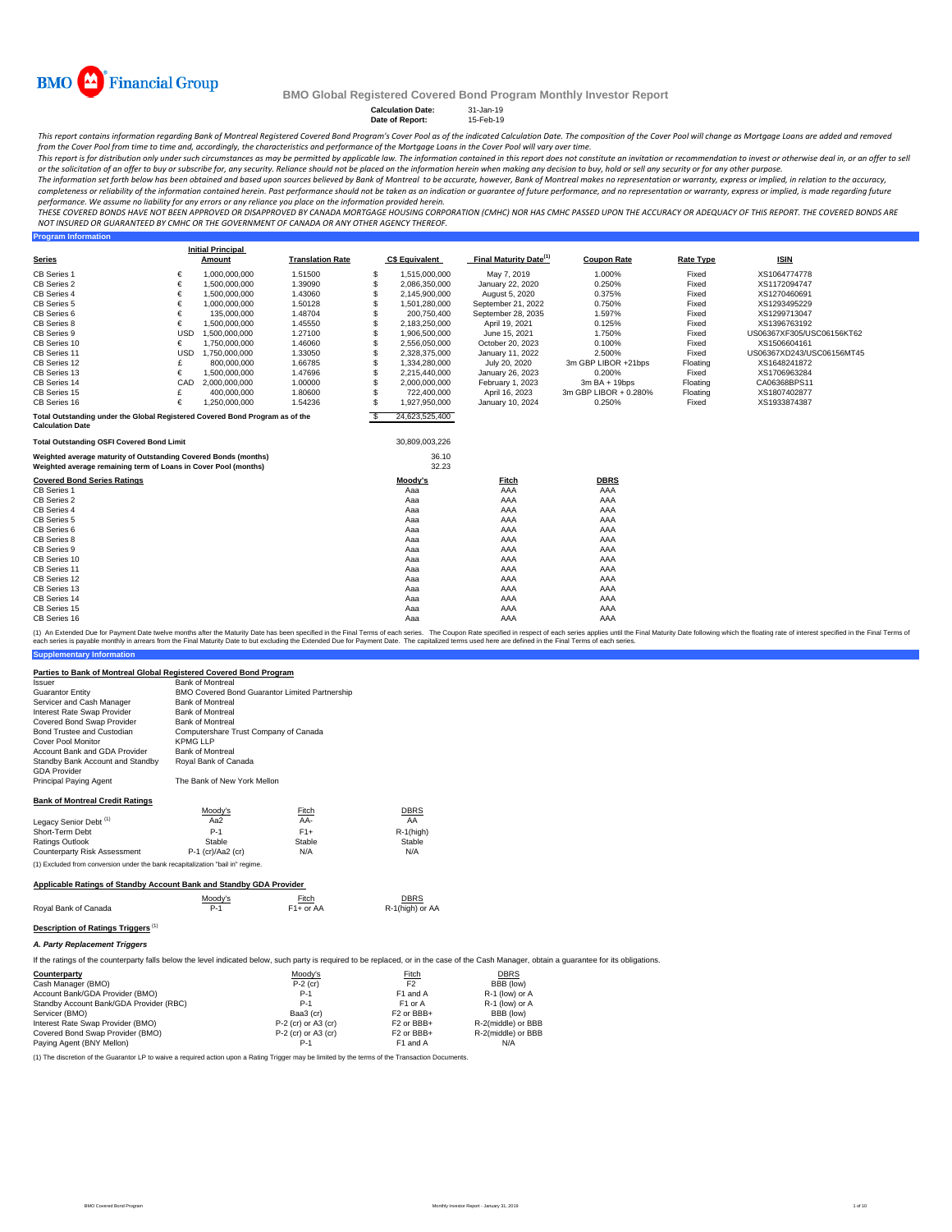

**Program Information**

#### **BMO Global Registered Covered Bond Program Monthly Investor Report**

**Calculation Date:** 31-Jan-19 **Date of Report:** 15-Feb-19

This report contains information regarding Bank of Montreal Registered Covered Bond Program's Cover Pool as of the indicated Calculation Date. The composition of the Cover Pool will change as Mortgage Loans are added and r from the Cover Pool from time to time and, accordingly, the characteristics and performance of the Mortgage Loans in the Cover Pool will vary over time.

This report is for distribution only under such circumstances as may be permitted by applicable law. The information contained in this report does not constitute an invitation or recommendation to invest or otherwise deal

The information set forth below has been obtained and based upon sources believed by Bank of Montreal to be accurate, however, Bank of Montreal makes no representation or warranty, express or implied, in relation to the ac completeness or reliability of the information contained herein. Past performance should not be taken as an indication or guarantee of future performance, and no representation or warranty, express or implied, is made rega

THESE COVERED BONDS HAVE NOT BEEN APPROVED OR DISAPPROVED BY CANADA MORTGAGE HOUSING CORPORATION (CMHC) NOR HAS CMHC PASSED UPON THE ACCURACY OR ADEQUACY OF THIS REPORT. THE COVERED BONDS ARE<br>NOT INSURED OR GUARANTEED BY C

|                                                                                                                                    |            | <b>Initial Principal</b> |                         |          |                       |                                    |                       |                  |                           |
|------------------------------------------------------------------------------------------------------------------------------------|------------|--------------------------|-------------------------|----------|-----------------------|------------------------------------|-----------------------|------------------|---------------------------|
| <b>Series</b>                                                                                                                      |            | Amount                   | <b>Translation Rate</b> |          | <b>C\$ Equivalent</b> | Final Maturity Date <sup>(1)</sup> | <b>Coupon Rate</b>    | <b>Rate Type</b> | <b>ISIN</b>               |
| CB Series 1                                                                                                                        | €          | 1,000,000,000            | 1.51500                 | <b>S</b> | 1,515,000,000         | May 7, 2019                        | 1.000%                | Fixed            | XS1064774778              |
| CB Series 2                                                                                                                        | €          | 1,500,000,000            | 1.39090                 | <b>S</b> | 2,086,350,000         | January 22, 2020                   | 0.250%                | Fixed            | XS1172094747              |
| CB Series 4                                                                                                                        | €          | 1,500,000,000            | 1.43060                 | S        | 2,145,900,000         | August 5, 2020                     | 0.375%                | Fixed            | XS1270460691              |
| CB Series 5                                                                                                                        | €          | 1,000,000,000            | 1.50128                 |          | 1,501,280,000         | September 21, 2022                 | 0.750%                | Fixed            | XS1293495229              |
| CB Series 6                                                                                                                        | €          | 135.000.000              | 1.48704                 |          | 200.750.400           | September 28, 2035                 | 1.597%                | Fixed            | XS1299713047              |
| CB Series 8                                                                                                                        | €          | 1.500.000.000            | 1.45550                 |          | 2,183,250,000         | April 19, 2021                     | 0.125%                | Fixed            | XS1396763192              |
| CB Series 9                                                                                                                        | <b>USD</b> | 1,500,000,000            | 1.27100                 | S        | 1,906,500,000         | June 15, 2021                      | 1.750%                | Fixed            | US06367XF305/USC06156KT62 |
| CB Series 10                                                                                                                       | €          | 1.750.000.000            | 1.46060                 | \$       | 2,556,050,000         | October 20, 2023                   | 0.100%                | Fixed            | XS1506604161              |
| CB Series 11                                                                                                                       | <b>USD</b> | 1.750.000.000            | 1.33050                 |          | 2,328,375,000         | January 11, 2022                   | 2.500%                | Fixed            | US06367XD243/USC06156MT45 |
| CB Series 12                                                                                                                       | £          | 800,000,000              | 1.66785                 | \$       | 1,334,280,000         | July 20, 2020                      | 3m GBP LIBOR +21bps   | Floating         | XS1648241872              |
| CB Series 13                                                                                                                       | €          | 1,500,000,000            | 1.47696                 |          | 2.215.440.000         | January 26, 2023                   | 0.200%                | Fixed            | XS1706963284              |
| CB Series 14                                                                                                                       | CAD        | 2,000,000,000            | 1.00000                 |          | 2.000.000.000         | February 1, 2023                   | $3mBA + 19bps$        | Floating         | CA06368BPS11              |
| CB Series 15                                                                                                                       | £          | 400,000,000              | 1.80600                 |          | 722,400,000           | April 16, 2023                     | 3m GBP LIBOR + 0.280% | Floating         | XS1807402877              |
| CB Series 16                                                                                                                       | €          | 1,250,000,000            | 1.54236                 |          | 1,927,950,000         | January 10, 2024                   | 0.250%                | Fixed            | XS1933874387              |
| Total Outstanding under the Global Registered Covered Bond Program as of the<br><b>Calculation Date</b>                            |            |                          |                         | <b>S</b> | 24.623.525.400        |                                    |                       |                  |                           |
| <b>Total Outstanding OSFI Covered Bond Limit</b>                                                                                   |            |                          |                         |          | 30,809,003,226        |                                    |                       |                  |                           |
| Weighted average maturity of Outstanding Covered Bonds (months)<br>Weighted average remaining term of Loans in Cover Pool (months) |            |                          |                         |          | 36.10<br>32.23        |                                    |                       |                  |                           |
| <b>Covered Bond Series Ratings</b>                                                                                                 |            |                          |                         |          | Moody's               | Fitch                              | <b>DBRS</b>           |                  |                           |
| CB Series 1                                                                                                                        |            |                          |                         |          | Aaa                   | AAA                                | AAA                   |                  |                           |
| CB Series 2                                                                                                                        |            |                          |                         |          | Aaa                   | AAA                                | AAA                   |                  |                           |
| CB Series 4                                                                                                                        |            |                          |                         |          | Aaa                   | AAA                                | AAA                   |                  |                           |
| CB Series 5                                                                                                                        |            |                          |                         |          | Aaa                   | AAA                                | AAA                   |                  |                           |
| CB Series 6                                                                                                                        |            |                          |                         |          | Aaa                   | AAA                                | AAA                   |                  |                           |
| CB Series 8                                                                                                                        |            |                          |                         |          | Aaa                   | AAA                                | AAA                   |                  |                           |
| CB Series 9                                                                                                                        |            |                          |                         |          | Aaa                   | AAA                                | AAA                   |                  |                           |
| CB Series 10                                                                                                                       |            |                          |                         |          | Aaa                   | AAA                                | AAA                   |                  |                           |
| CB Series 11                                                                                                                       |            |                          |                         |          | Aaa                   | AAA                                | AAA                   |                  |                           |
| CB Series 12                                                                                                                       |            |                          |                         |          | Aaa                   | AAA                                | AAA                   |                  |                           |
| CB Series 13                                                                                                                       |            |                          |                         |          | Aaa                   | AAA                                | AAA                   |                  |                           |
| CB Series 14                                                                                                                       |            |                          |                         |          | Aaa                   | AAA                                | AAA                   |                  |                           |
| CB Series 15                                                                                                                       |            |                          |                         |          | Aaa                   | AAA                                | AAA                   |                  |                           |
| CB Series 16                                                                                                                       |            |                          |                         |          | Aaa                   | AAA                                | AAA                   |                  |                           |

**Supplementary Information** (1) An Extended Due for Payment Date twelve months after the Maturity Date has been specified in the Final Terms of each series. The Coupon Rate specified in the Final Maturity Date to but excluding the Extended Due for Pa

#### **Parties to Bank of Montreal Global Registered Covered Bond Program**

| Issuer                                                                         | <b>Bank of Montreal</b>                        |                        |                |
|--------------------------------------------------------------------------------|------------------------------------------------|------------------------|----------------|
| <b>Guarantor Entity</b>                                                        | BMO Covered Bond Guarantor Limited Partnership |                        |                |
| Servicer and Cash Manager                                                      | <b>Bank of Montreal</b>                        |                        |                |
| Interest Rate Swap Provider                                                    | <b>Bank of Montreal</b>                        |                        |                |
| Covered Bond Swap Provider                                                     | <b>Bank of Montreal</b>                        |                        |                |
| Bond Trustee and Custodian                                                     | Computershare Trust Company of Canada          |                        |                |
| <b>Cover Pool Monitor</b>                                                      | <b>KPMG LLP</b>                                |                        |                |
| Account Bank and GDA Provider                                                  | <b>Bank of Montreal</b>                        |                        |                |
| Standby Bank Account and Standby<br><b>GDA Provider</b>                        | Royal Bank of Canada                           |                        |                |
| Principal Paying Agent                                                         | The Bank of New York Mellon                    |                        |                |
| <b>Bank of Montreal Credit Ratings</b>                                         |                                                |                        |                |
|                                                                                | Moody's                                        | Fitch                  | <b>DBRS</b>    |
| Legacy Senior Debt <sup>(1)</sup>                                              | Aa2                                            | AA-                    | AA             |
| Short-Term Debt                                                                | $P-1$                                          | $F1+$                  | $R-1$ (high)   |
| Ratings Outlook                                                                | Stable                                         | Stable                 | Stable         |
| Counterparty Risk Assessment                                                   | $P-1$ (cr)/Aa2 (cr)                            | N/A                    | N/A            |
| (1) Excluded from conversion under the bank recapitalization "bail in" regime. |                                                |                        |                |
| Applicable Ratings of Standby Account Bank and Standby GDA Provider            |                                                |                        |                |
|                                                                                | Moody's                                        | Fitch                  | DBRS           |
| Roval Bank of Canada                                                           | $P-1$                                          | F <sub>1</sub> + or AA | R-1(high) or A |

|                      | Moody's    | Fitch<br>$\sim$ $\sim$ $\sim$ | <b>DBRS</b><br>____ |
|----------------------|------------|-------------------------------|---------------------|
| Royal Bank of Canada | <b>P.1</b> | F <sub>1</sub> + or AA        | R-1(high) or AA     |

## **Description of Ratings Triggers**<sup>(1)</sup>

*A. Party Replacement Triggers*

If the ratings of the counterparty falls below the level indicated below, such party is required to be replaced, or in the case of the Cash Manager, obtain a guarantee for its obligations.

| Counterparty                            | Moody's               | Fitch                  | <b>DBRS</b>        |
|-----------------------------------------|-----------------------|------------------------|--------------------|
| Cash Manager (BMO)                      | $P-2$ (cr)            | F <sub>2</sub>         | BBB (low)          |
| Account Bank/GDA Provider (BMO)         | $P-1$                 | F1 and A               | R-1 (low) or A     |
| Standby Account Bank/GDA Provider (RBC) | $P-1$                 | F <sub>1</sub> or A    | R-1 (low) or A     |
| Servicer (BMO)                          | Baa3 (cr)             | F <sub>2</sub> or BBB+ | BBB (low)          |
| Interest Rate Swap Provider (BMO)       | $P-2$ (cr) or A3 (cr) | F <sub>2</sub> or BBB+ | R-2(middle) or BBB |
| Covered Bond Swap Provider (BMO)        | $P-2$ (cr) or A3 (cr) | F <sub>2</sub> or BBB+ | R-2(middle) or BBB |
| Paying Agent (BNY Mellon)               | P-1                   | F1 and A               | N/A                |

(1) The discretion of the Guarantor LP to waive a required action upon a Rating Trigger may be limited by the terms of the Transaction Documents.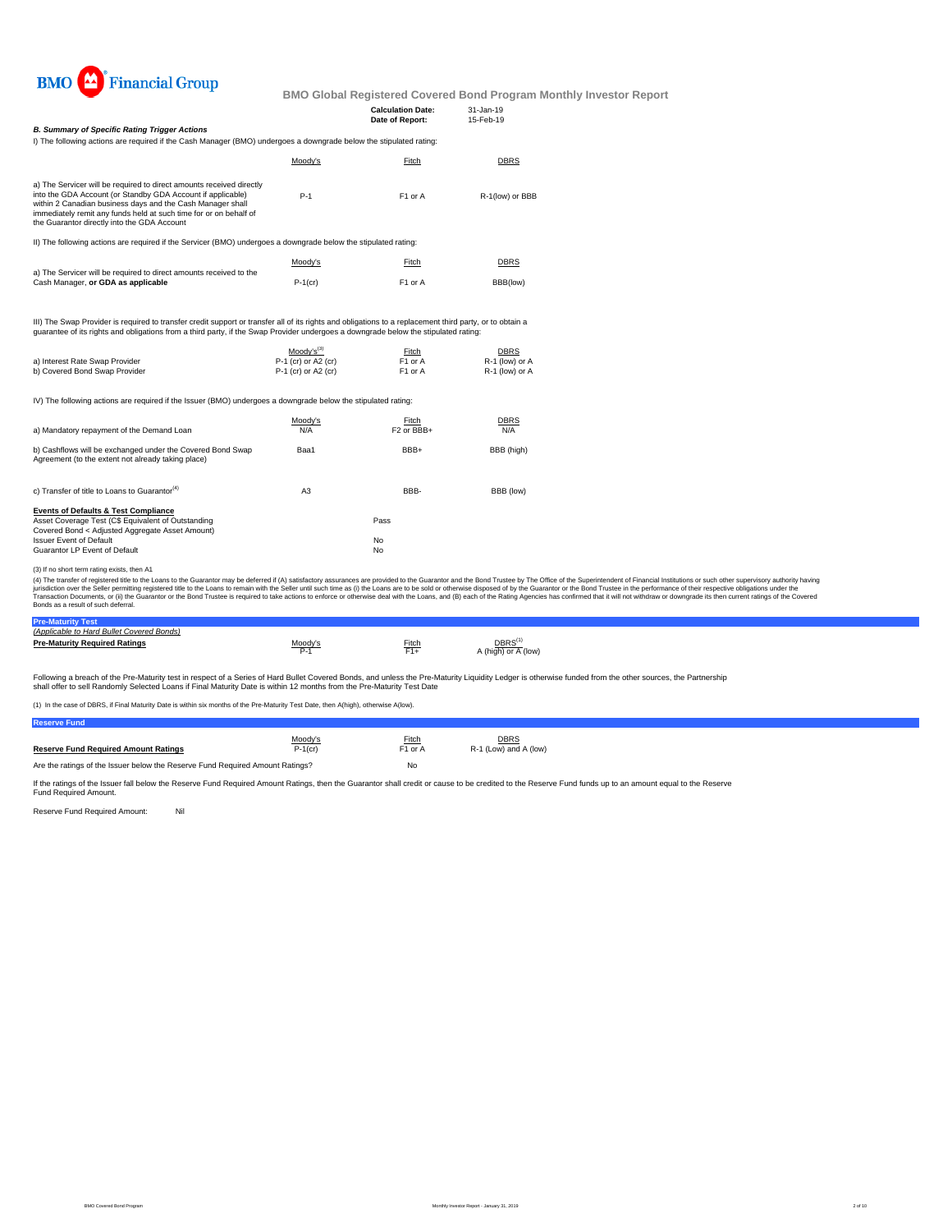

|                                                                                                                                                                                                                                                                                                                       |         | <b>Calculation Date:</b><br>Date of Report: | $31 - Jan - 19$<br>15-Feb-19 |
|-----------------------------------------------------------------------------------------------------------------------------------------------------------------------------------------------------------------------------------------------------------------------------------------------------------------------|---------|---------------------------------------------|------------------------------|
| <b>B. Summary of Specific Rating Trigger Actions</b>                                                                                                                                                                                                                                                                  |         |                                             |                              |
| I) The following actions are required if the Cash Manager (BMO) undergoes a downgrade below the stipulated rating:                                                                                                                                                                                                    |         |                                             |                              |
|                                                                                                                                                                                                                                                                                                                       | Moody's | Fitch                                       | <b>DBRS</b>                  |
| a) The Servicer will be required to direct amounts received directly<br>into the GDA Account (or Standby GDA Account if applicable)<br>within 2 Canadian business days and the Cash Manager shall<br>immediately remit any funds held at such time for or on behalf of<br>the Guarantor directly into the GDA Account | $P-1$   | F <sub>1</sub> or A                         | R-1(low) or BBB              |
| II) The following actions are required if the Servicer (BMO) undergoes a downgrade below the stipulated rating:                                                                                                                                                                                                       |         |                                             |                              |
| a) The Servicer will be required to direct amounts received to the                                                                                                                                                                                                                                                    | Moodv's | Fitch                                       | <b>DBRS</b>                  |

|                                                                    | Moody's    | Fitch               | <b>DBRS</b><br><u> The Communication of the Communication of the Communication of the Communication of the Communication of the Communication of the Communication of the Communication of the Communication of the Communication of the Commun</u> |
|--------------------------------------------------------------------|------------|---------------------|-----------------------------------------------------------------------------------------------------------------------------------------------------------------------------------------------------------------------------------------------------|
| a) The Servicer will be required to direct amounts received to the |            |                     |                                                                                                                                                                                                                                                     |
| Cash Manager, or GDA as applicable                                 | $P-1$ (cr) | F <sub>1</sub> or A | BBB(low)                                                                                                                                                                                                                                            |

III) The Swap Provider is required to transfer credit support or transfer all of its rights and obligations to a replacement third party, or to obtain a<br>guarantee of its rights and obligations from a third party, if the Sw

|                                | $Modv's^{(3)}$        | Fitch               | <b>DBRS</b>    |
|--------------------------------|-----------------------|---------------------|----------------|
| a) Interest Rate Swap Provider | $P-1$ (cr) or A2 (cr) | F <sub>1</sub> or A | R-1 (low) or A |
| b) Covered Bond Swap Provider  | $P-1$ (cr) or A2 (cr) | F1 or A             | R-1 (low) or A |

IV) The following actions are required if the Issuer (BMO) undergoes a downgrade below the stipulated rating:

| a) Mandatory repayment of the Demand Loan                                                                                                                                                                                   | Moody's<br>N/A | Fitch<br>F <sub>2</sub> or BBB+ | <b>DBRS</b><br>N/A |
|-----------------------------------------------------------------------------------------------------------------------------------------------------------------------------------------------------------------------------|----------------|---------------------------------|--------------------|
| b) Cashflows will be exchanged under the Covered Bond Swap<br>Agreement (to the extent not already taking place)                                                                                                            | Baa1           | BBB+                            | BBB (high)         |
| c) Transfer of title to Loans to Guarantor <sup>(4)</sup>                                                                                                                                                                   | A <sub>3</sub> | BBB-                            | BBB (low)          |
| <b>Events of Defaults &amp; Test Compliance</b><br>Asset Coverage Test (C\$ Equivalent of Outstanding<br>Covered Bond < Adjusted Aggregate Asset Amount)<br><b>Issuer Event of Default</b><br>Guarantor LP Event of Default |                | Pass<br>No.<br>No               |                    |

(3) If no short term rating exists, then A1

(4) The transfer of registered tilte to the Loans to the Guarantor may be deferred if (A) satistadoy assurances are provided to the Guarantor and the Bond Trustee by the Odifice of the System Trustee in the performance of

#### **Pre-Maturity Test** *(Applicable to Hard Bullet Covered Bonds)*

| <i><b>I ADDIICADIE IU FAIU DUIIEI COVEIEU DUIIUSI</b></i> |         |                         |                                            |
|-----------------------------------------------------------|---------|-------------------------|--------------------------------------------|
| <b>Pre-Maturity Required Ratings</b>                      | Moodv's | Fitch<br>E <sub>4</sub> | DBRS <sup>(1)</sup><br>A (high) or A (low) |

Following a breach of the Pre-Maturity test in respect of a Series of Hard Bullet Covered Bonds, and unless the Pre-Maturity Liquidity Ledger is otherwise funded from the other sources, the Partnership<br>shall offer to sell

(1) In the case of DBRS, if Final Maturity Date is within six months of the Pre-Maturity Test Date, then A(high), otherwise A(low).

| <b>Reserve Fund</b>                                                           |            |                     |                       |
|-------------------------------------------------------------------------------|------------|---------------------|-----------------------|
|                                                                               | Moody's    | Fitch               | <b>DBRS</b>           |
| <b>Reserve Fund Required Amount Ratings</b>                                   | $P-1$ (cr) | F <sub>1</sub> or A | R-1 (Low) and A (low) |
| Are the ratings of the Issuer below the Reserve Fund Required Amount Ratings? |            | No                  |                       |

If the ratings of the Issuer fall below the Reserve Fund Required Amount Ratings, then the Guarantor shall credit or cause to be credited to the Reserve Fund funds up to an amount equal to the Reserve<br>Fund Required Amount.

Reserve Fund Required Amount: Nil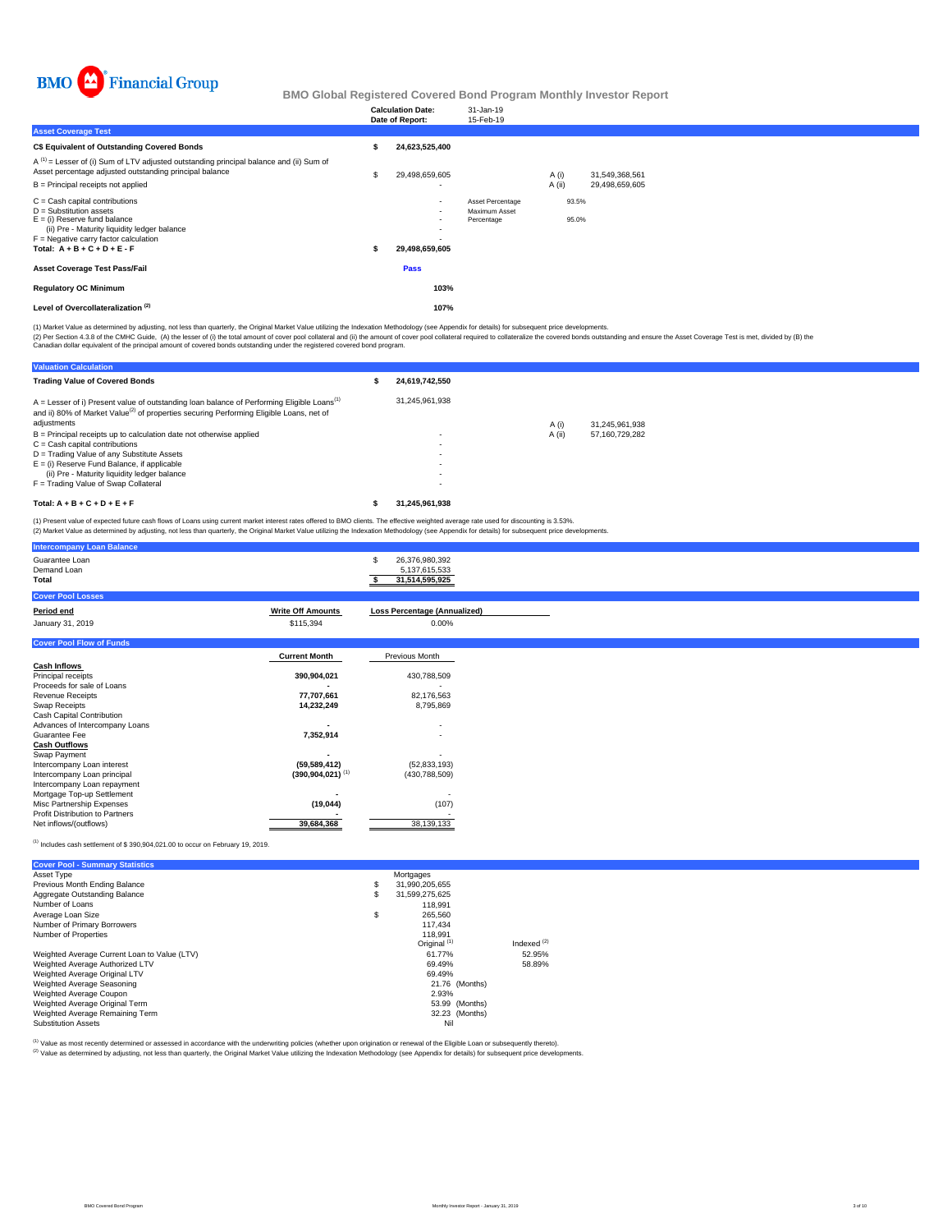

|                                                                                                                                                                                                                              | <b>Calculation Date:</b><br>Date of Report: | 31-Jan-19<br>15-Feb-19                          |                |                |  |  |
|------------------------------------------------------------------------------------------------------------------------------------------------------------------------------------------------------------------------------|---------------------------------------------|-------------------------------------------------|----------------|----------------|--|--|
| <b>Asset Coverage Test</b>                                                                                                                                                                                                   |                                             |                                                 |                |                |  |  |
| C\$ Equivalent of Outstanding Covered Bonds                                                                                                                                                                                  | 24,623,525,400                              |                                                 |                |                |  |  |
| $A^{(1)}$ = Lesser of (i) Sum of LTV adjusted outstanding principal balance and (ii) Sum of<br>Asset percentage adjusted outstanding principal balance                                                                       | 29,498,659,605                              |                                                 | A (i)          | 31,549,368,561 |  |  |
| B = Principal receipts not applied                                                                                                                                                                                           | ۰                                           |                                                 | A (ii)         | 29,498,659,605 |  |  |
| $C =$ Cash capital contributions<br>$D =$ Substitution assets<br>$E =$ (i) Reserve fund balance<br>(ii) Pre - Maturity liquidity ledger balance<br>$F =$ Negative carry factor calculation<br>Total: $A + B + C + D + E - F$ | $\sim$<br>۰<br>29,498,659,605               | Asset Percentage<br>Maximum Asset<br>Percentage | 93.5%<br>95.0% |                |  |  |
| <b>Asset Coverage Test Pass/Fail</b>                                                                                                                                                                                         | Pass                                        |                                                 |                |                |  |  |
| <b>Regulatory OC Minimum</b>                                                                                                                                                                                                 | 103%                                        |                                                 |                |                |  |  |
| Level of Overcollateralization <sup>(2)</sup>                                                                                                                                                                                | 107%                                        |                                                 |                |                |  |  |

(1) Market Value as determined by adjusting, not less than quarterly, the Original Market Value utilizing the Indexation Methodology (see Appendix for details) for subsequent price developments.

(2) Per Section 4.3.8 of the CMHC Guide, (A) the lesser of (i) the total amount of cover pool collateral and (ii) the amount of cover pool collateral required to collateralize the covered bonds outstanding and ensure the A

| <b>Valuation Calculation</b>                                                                                                                                                                                                   |                |        |                |  |
|--------------------------------------------------------------------------------------------------------------------------------------------------------------------------------------------------------------------------------|----------------|--------|----------------|--|
| <b>Trading Value of Covered Bonds</b>                                                                                                                                                                                          | 24.619.742.550 |        |                |  |
| $A =$ Lesser of i) Present value of outstanding loan balance of Performing Eligible Loans <sup>(1)</sup><br>and ii) 80% of Market Value <sup>(2)</sup> of properties securing Performing Eligible Loans, net of<br>adjustments | 31.245.961.938 | A (i)  | 31.245.961.938 |  |
| $B =$ Principal receipts up to calculation date not otherwise applied                                                                                                                                                          |                | A (ii) | 57.160.729.282 |  |
| $C = Cash$ capital contributions                                                                                                                                                                                               |                |        |                |  |
| D = Trading Value of any Substitute Assets                                                                                                                                                                                     |                |        |                |  |
| $E =$ (i) Reserve Fund Balance, if applicable                                                                                                                                                                                  |                |        |                |  |
| (ii) Pre - Maturity liquidity ledger balance                                                                                                                                                                                   |                |        |                |  |
| F = Trading Value of Swap Collateral                                                                                                                                                                                           |                |        |                |  |
| Total: $A + B + C + D + E + F$                                                                                                                                                                                                 | 31.245.961.938 |        |                |  |

(1) Present value of expected future cash flows of Loans using current market interest rates offered to BMO clients. The effective weighted average rate used for discounting is 3.53%.<br>(2) Market Value as determined by adju

| <b>Intercompany Loan Balance</b>       |                                  |                                                        |
|----------------------------------------|----------------------------------|--------------------------------------------------------|
| Guarantee Loan<br>Demand Loan<br>Total |                                  | 26,376,980,392<br>S<br>5,137,615,533<br>31,514,595,925 |
| <b>Cover Pool Losses</b>               |                                  |                                                        |
| Period end                             | <b>Write Off Amounts</b>         | <b>Loss Percentage (Annualized)</b>                    |
| January 31, 2019                       | \$115,394                        | 0.00%                                                  |
| <b>Cover Pool Flow of Funds</b>        |                                  |                                                        |
|                                        | <b>Current Month</b>             | Previous Month                                         |
| <b>Cash Inflows</b>                    |                                  |                                                        |
| Principal receipts                     | 390,904,021                      | 430,788,509                                            |
| Proceeds for sale of Loans             |                                  |                                                        |
| <b>Revenue Receipts</b>                | 77,707,661                       | 82,176,563                                             |
| Swap Receipts                          | 14,232,249                       | 8,795,869                                              |
| Cash Capital Contribution              |                                  |                                                        |
| Advances of Intercompany Loans         |                                  | ٠                                                      |
| Guarantee Fee                          | 7,352,914                        | ٠                                                      |
| <b>Cash Outflows</b>                   |                                  |                                                        |
| Swap Payment                           |                                  |                                                        |
| Intercompany Loan interest             | (59, 589, 412)                   | (52, 833, 193)                                         |
| Intercompany Loan principal            | $(390, 904, 021)$ <sup>(1)</sup> | (430, 788, 509)                                        |
| Intercompany Loan repayment            |                                  |                                                        |
| Mortgage Top-up Settlement             |                                  | ٠                                                      |
| Misc Partnership Expenses              | (19,044)                         | (107)                                                  |
| Profit Distribution to Partners        |                                  |                                                        |
| Net inflows/(outflows)                 | 39,684,368                       | 38,139,133                                             |

## (1) Includes cash settlement of \$ 390,904,021.00 to occur on February 19, 2019.

| <b>Cover Pool - Summary Statistics</b>       |                         |               |
|----------------------------------------------|-------------------------|---------------|
| Asset Type                                   | Mortgages               |               |
| Previous Month Ending Balance                | \$<br>31.990.205.655    |               |
| Aggregate Outstanding Balance                | \$<br>31.599.275.625    |               |
| Number of Loans                              | 118.991                 |               |
| Average Loan Size                            | \$<br>265.560           |               |
| Number of Primary Borrowers                  | 117.434                 |               |
| Number of Properties                         | 118.991                 |               |
|                                              | Original <sup>(1)</sup> | Indexed $(2)$ |
| Weighted Average Current Loan to Value (LTV) | 61.77%                  | 52.95%        |
| Weighted Average Authorized LTV              | 69.49%                  | 58.89%        |
| Weighted Average Original LTV                | 69.49%                  |               |
| Weighted Average Seasoning                   | 21.76 (Months)          |               |
| Weighted Average Coupon                      | 2.93%                   |               |
| Weighted Average Original Term               | 53.99 (Months)          |               |
| Weighted Average Remaining Term              | 32.23 (Months)          |               |
| <b>Substitution Assets</b>                   | Nil                     |               |

(1) Value as most recently determined or assessed in accordance with the underwriting policies (whether upon origination or renewal of the Eligible Loan or subsequently thereto).

Value as incorrection documents of documents in the children as the children of the United States of the Indexation Methodology (see Appendix for details) for subsequent price developments.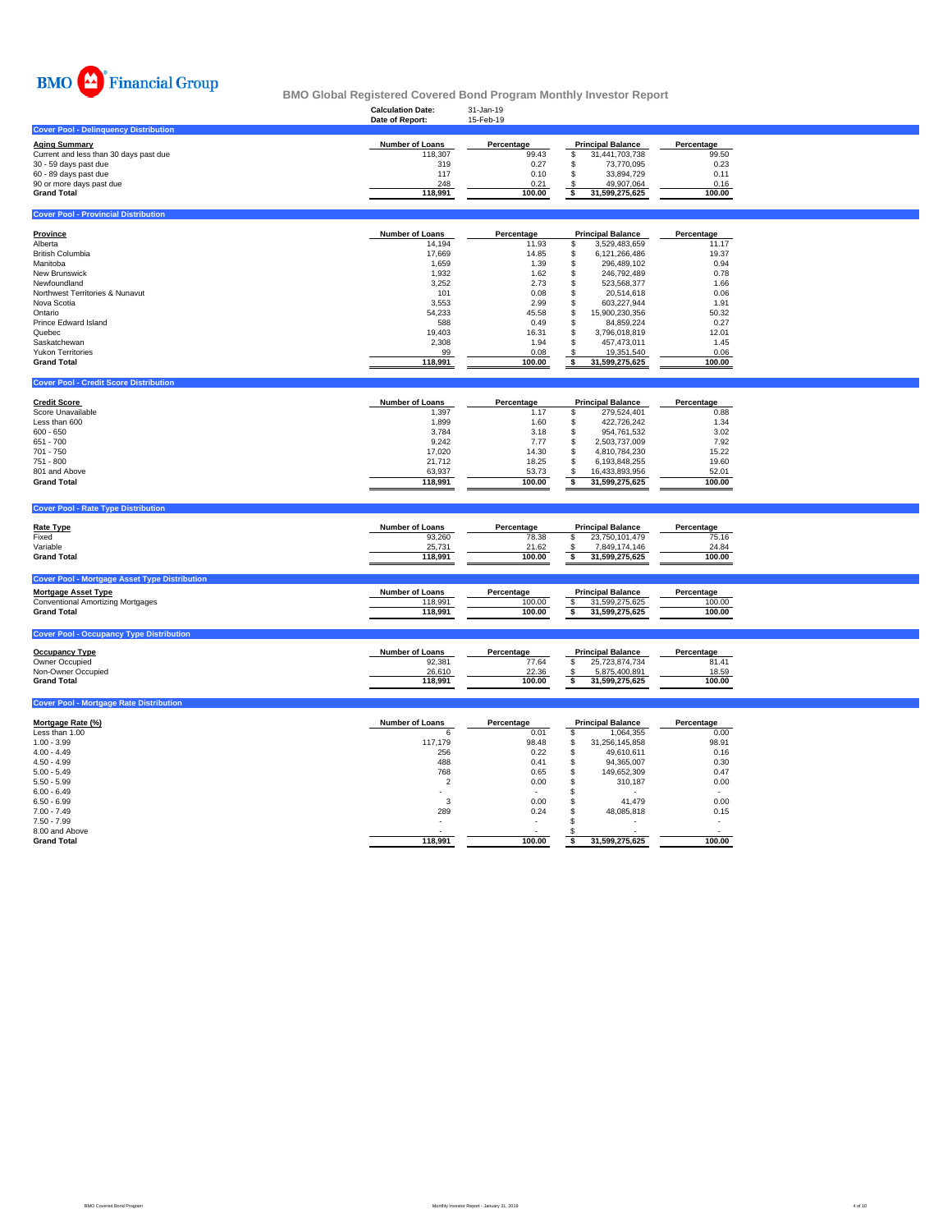

|                                              | <b>Calculation Date:</b><br>Date of Report: | 31-Jan-19<br>15-Feb-19 |                          |            |  |
|----------------------------------------------|---------------------------------------------|------------------------|--------------------------|------------|--|
| <b>Cover Pool - Delinquency Distribution</b> |                                             |                        |                          |            |  |
| <b>Aging Summary</b>                         | Number of Loans                             | Percentage             | <b>Principal Balance</b> | Percentage |  |
| Current and less than 30 days past due       | 118,307                                     | 99.43                  | 31,441,703,738           | 99.50      |  |
| 30 - 59 days past due                        | 319                                         | 0.27                   | 73.770.095               | 0.23       |  |
| 60 - 89 days past due                        | 117                                         | 0.10                   | 33,894,729               | 0.11       |  |
| 90 or more days past due                     | 248                                         | 0.21                   | 49.907.064               | 0.16       |  |
| <b>Grand Total</b>                           | 118,991                                     | 100.00                 | 31,599,275,625           | 100.00     |  |
|                                              |                                             |                        |                          |            |  |
| <b>Cover Pool - Provincial Distribution</b>  |                                             |                        |                          |            |  |
|                                              |                                             |                        |                          |            |  |
| <b>Province</b>                              | Number of Loans                             | Percentage             | <b>Principal Balance</b> | Percentage |  |
| Alberta                                      | 14,194                                      | 11.93                  | 3,529,483,659            | 11.17      |  |
| <b>British Columbia</b>                      | 17,669                                      | 14.85                  | 6,121,266,486            | 19.37      |  |
| Manitoba                                     | 1,659                                       | 1.39                   | 296,489,102              | 0.94       |  |
| <b>New Brunswick</b>                         | 1,932                                       | 1.62                   | 246,792,489              | 0.78       |  |
| Newfoundland                                 | 3,252                                       | 2.73                   | 523,568,377              | 1.66       |  |
| Northwest Territories & Nunavut              | 101                                         | 0.08                   | 20,514,618               | 0.06       |  |
| Nova Scotia                                  | 3,553                                       | 2.99                   | 603,227,944              | 1.91       |  |
| Ontario                                      | 54,233                                      | 45.58                  | 15,900,230,356           | 50.32      |  |
| Prince Edward Island                         | 588                                         | 0.49                   | 84,859,224               | 0.27       |  |
| Quebec                                       | 19,403                                      | 16.31                  | 3,796,018,819            | 12.01      |  |
| Saskatchewan                                 | 2,308                                       | 1.94                   | 457,473,011              | 1.45       |  |
| <b>Yukon Territories</b>                     | 99                                          | 0.08                   | 19,351,540               | 0.06       |  |
| <b>Grand Total</b>                           | 118,991                                     | 100.00                 | 31,599,275,625           | 100.00     |  |
|                                              |                                             |                        |                          |            |  |

| <b>Credit Score</b> | <b>Number of Loans</b> | Percentage | <b>Principal Balance</b> | Percentage |
|---------------------|------------------------|------------|--------------------------|------------|
| Score Unavailable   | 1.397                  | 1.17       | 279.524.401              | 0.88       |
| Less than 600       | 1.899                  | 1.60       | 422.726.242              | 1.34       |
| $600 - 650$         | 3.784                  | 3.18       | 954.761.532              | 3.02       |
| 651 - 700           | 9,242                  | 7.77       | 2.503.737.009            | 7.92       |
| 701 - 750           | 17.020                 | 14.30      | 4.810.784.230            | 15.22      |
| 751 - 800           | 21.712                 | 18.25      | 6.193.848.255            | 19.60      |
| 801 and Above       | 63.937                 | 53.73      | 16.433.893.956           | 52.01      |
| <b>Grand Total</b>  | 118.991                | 100.00     | 31.599.275.625           | 100.00     |

| <b>Cover Pool - Rate Type Distribution</b>           |                        |            |                          |            |
|------------------------------------------------------|------------------------|------------|--------------------------|------------|
| <b>Rate Type</b>                                     | <b>Number of Loans</b> | Percentage | <b>Principal Balance</b> | Percentage |
| Fixed                                                | 93,260                 | 78.38      | 23,750,101,479           | 75.16      |
| Variable                                             | 25,731                 | 21.62      | 7,849,174,146            | 24.84      |
| <b>Grand Total</b>                                   | 118.991                | 100.00     | 31,599,275,625           | 100.00     |
|                                                      |                        |            |                          |            |
| <b>Cover Pool - Mortgage Asset Type Distribution</b> |                        |            |                          |            |
| <b>Mortgage Asset Type</b>                           | <b>Number of Loans</b> | Percentage | <b>Principal Balance</b> | Percentage |
| <b>Conventional Amortizing Mortgages</b>             | 118.991                | 100.00     | 31,599,275,625           | 100.00     |
|                                                      |                        | 100.00     | 31,599,275,625           | 100.00     |
| <b>Grand Total</b>                                   | 118,991                |            |                          |            |
|                                                      |                        |            |                          |            |
| <b>Cover Pool - Occupancy Type Distribution</b>      |                        |            |                          |            |

| <b>Occupancy Type</b> | <b>Number of Loans</b> | Percentage | <b>Principal Balance</b> |                | Percentage |
|-----------------------|------------------------|------------|--------------------------|----------------|------------|
| Owner Occupied        | 92.381                 | 77.64      |                          | 25.723.874.734 | 81.41      |
| Non-Owner Occupied    | 26,610                 | 22.36      |                          | 5.875.400.891  | 18.59      |
| <b>Grand Total</b>    | 118.991                | 100.00     |                          | 31.599.275.625 | 100.00     |
|                       |                        |            |                          |                |            |

| <b>Cover Pool - Mortgage Rate Distribution</b> |
|------------------------------------------------|
|------------------------------------------------|

**Covert Propie - Credit Score Distribution** 

| Mortgage Rate (%)  | <b>Number of Loans</b> | Percentage | <b>Principal Balance</b> |                | Percentage |
|--------------------|------------------------|------------|--------------------------|----------------|------------|
| Less than 1.00     | 6                      | 0.01       |                          | 1,064,355      | 0.00       |
| $1.00 - 3.99$      | 117.179                | 98.48      | ä.                       | 31,256,145,858 | 98.91      |
| $4.00 - 4.49$      | 256                    | 0.22       | £.                       | 49.610.611     | 0.16       |
| $4.50 - 4.99$      | 488                    | 0.41       | S                        | 94.365.007     | 0.30       |
| $5.00 - 5.49$      | 768                    | 0.65       | \$                       | 149.652.309    | 0.47       |
| $5.50 - 5.99$      | $\overline{2}$         | 0.00       | \$                       | 310.187        | 0.00       |
| $6.00 - 6.49$      |                        |            |                          | $\sim$         |            |
| $6.50 - 6.99$      | 3                      | 0.00       |                          | 41.479         | 0.00       |
| $7.00 - 7.49$      | 289                    | 0.24       |                          | 48,085,818     | 0.15       |
| $7.50 - 7.99$      |                        |            |                          |                |            |
| 8.00 and Above     |                        |            |                          |                |            |
| <b>Grand Total</b> | 118,991                | 100.00     |                          | 31,599,275,625 | 100.00     |
|                    |                        |            |                          |                |            |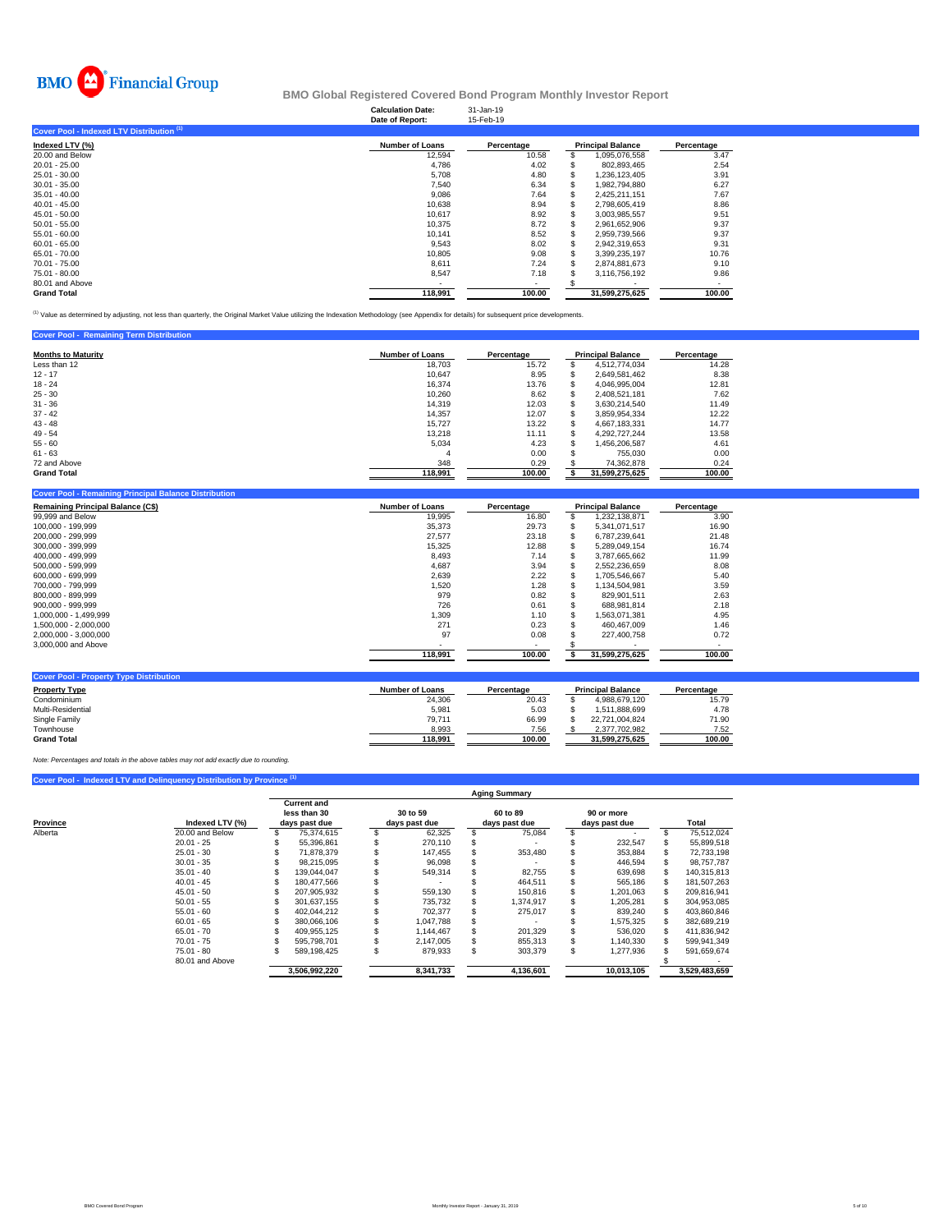

# **Calculation Date:** 31-Jan-19 **BMO Global Registered Covered Bond Program Monthly Investor Report**

|                                           | Date of Report:        | 15-Feb-19  |                          |            |
|-------------------------------------------|------------------------|------------|--------------------------|------------|
| Cover Pool - Indexed LTV Distribution (1) |                        |            |                          |            |
| Indexed LTV (%)                           | <b>Number of Loans</b> | Percentage | <b>Principal Balance</b> | Percentage |
| 20.00 and Below                           | 12,594                 | 10.58      | 1,095,076,558            | 3.47       |
| $20.01 - 25.00$                           | 4,786                  | 4.02       | 802,893,465              | 2.54       |
| 25.01 - 30.00                             | 5.708                  | 4.80       | 1.236.123.405            | 3.91       |
| $30.01 - 35.00$                           | 7,540                  | 6.34       | 1.982.794.880            | 6.27       |
| $35.01 - 40.00$                           | 9,086                  | 7.64       | 2,425,211,151            | 7.67       |
| $40.01 - 45.00$                           | 10,638                 | 8.94       | 2.798.605.419            | 8.86       |
| $45.01 - 50.00$                           | 10.617                 | 8.92       | 3.003.985.557            | 9.51       |
| $50.01 - 55.00$                           | 10.375                 | 8.72       | 2,961,652,906            | 9.37       |
| $55.01 - 60.00$                           | 10.141                 | 8.52       | 2.959.739.566            | 9.37       |
| $60.01 - 65.00$                           | 9,543                  | 8.02       | 2,942,319,653            | 9.31       |
| 65.01 - 70.00                             | 10,805                 | 9.08       | 3,399,235,197            | 10.76      |
| 70.01 - 75.00                             | 8,611                  | 7.24       | 2,874,881,673            | 9.10       |
| 75.01 - 80.00                             | 8,547                  | 7.18       | 3,116,756,192            | 9.86       |
| 80.01 and Above                           |                        |            |                          |            |
| <b>Grand Total</b>                        | 118,991                | 100.00     | 31.599.275.625           | 100.00     |

<sup>(1)</sup> Value as determined by adjusting, not less than quarterly, the Original Market Value utilizing the Indexation Methodology (see Appendix for details) for subsequent price developments.

| <b>Cover Pool - Remaining Term Distribution</b> |                        |            |                          |            |
|-------------------------------------------------|------------------------|------------|--------------------------|------------|
| <b>Months to Maturity</b>                       | <b>Number of Loans</b> | Percentage | <b>Principal Balance</b> | Percentage |
| Less than 12                                    | 18.703                 | 15.72      | 4.512.774.034            | 14.28      |
| $12 - 17$                                       | 10.647                 | 8.95       | 2.649.581.462            | 8.38       |
| $18 - 24$                                       | 16.374                 | 13.76      | 4.046.995.004            | 12.81      |
| $25 - 30$                                       | 10.260                 | 8.62       | 2.408.521.181            | 7.62       |
| $31 - 36$                                       | 14.319                 | 12.03      | 3.630.214.540            | 11.49      |
| $37 - 42$                                       | 14.357                 | 12.07      | 3.859.954.334            | 12.22      |
| $43 - 48$                                       | 15.727                 | 13.22      | 4.667.183.331            | 14.77      |
| $49 - 54$                                       | 13,218                 | 11.11      | 4.292.727.244            | 13.58      |
| $55 - 60$                                       | 5.034                  | 4.23       | 1.456.206.587            | 4.61       |
| $61 - 63$                                       |                        | 0.00       | 755.030                  | 0.00       |
| 72 and Above                                    | 348                    | 0.29       | 74.362.878               | 0.24       |
| <b>Grand Total</b>                              | 118,991                | 100.00     | 31,599,275,625           | 100.00     |

| <b>Remaining Principal Balance (C\$)</b> | <b>Number of Loans</b> | Percentage | <b>Principal Balance</b> |                | Percentage |
|------------------------------------------|------------------------|------------|--------------------------|----------------|------------|
| 99,999 and Below                         | 19,995                 | 16.80      |                          | 1,232,138,871  | 3.90       |
| 100.000 - 199.999                        | 35,373                 | 29.73      |                          | 5,341,071,517  | 16.90      |
| 200.000 - 299.999                        | 27,577                 | 23.18      |                          | 6.787.239.641  | 21.48      |
| 300.000 - 399.999                        | 15,325                 | 12.88      |                          | 5.289.049.154  | 16.74      |
| 400.000 - 499.999                        | 8.493                  | 7.14       | S                        | 3.787.665.662  | 11.99      |
| 500.000 - 599.999                        | 4,687                  | 3.94       |                          | 2,552,236,659  | 8.08       |
| 600.000 - 699.999                        | 2,639                  | 2.22       |                          | 1.705.546.667  | 5.40       |
| 700.000 - 799.999                        | 1,520                  | 1.28       |                          | 1.134.504.981  | 3.59       |
| 800.000 - 899.999                        | 979                    | 0.82       |                          | 829.901.511    | 2.63       |
| 900.000 - 999.999                        | 726                    | 0.61       |                          | 688.981.814    | 2.18       |
| 1.000.000 - 1.499.999                    | 1,309                  | 1.10       |                          | .563.071.381   | 4.95       |
| 1.500.000 - 2.000.000                    | 271                    | 0.23       |                          | 460.467.009    | 1.46       |
| 2,000,000 - 3,000,000                    | 97                     | 0.08       |                          | 227.400.758    | 0.72       |
| 3,000,000 and Above                      |                        | ٠          |                          |                | $\sim$     |
|                                          | 118,991                | 100.00     |                          | 31,599,275,625 | 100.00     |

| <b>Cover Pool - Property Type Distribution</b> |                 |            |                          |                |            |  |
|------------------------------------------------|-----------------|------------|--------------------------|----------------|------------|--|
| <b>Property Type</b>                           | Number of Loans | Percentage | <b>Principal Balance</b> |                | Percentage |  |
| Condominium                                    | 24.306          | 20.43      |                          | 4.988.679.120  | 15.79      |  |
| Multi-Residential                              | 5.981           | 5.03       |                          | 1.511.888.699  | 4.78       |  |
| Single Family                                  | 79.711          | 66.99      |                          | 22.721.004.824 | 71.90      |  |
| Townhouse                                      | 8,993           | 7.56       |                          | 2.377.702.982  | 7.52       |  |
| <b>Grand Total</b>                             | 118.991         | 100.00     |                          | 31.599.275.625 | 100.00     |  |

*Note: Percentages and totals in the above tables may not add exactly due to rounding.*

# **Cover Pool - Indexed LTV and Delinquency Distribution by Provine**

|                     |                 | <b>Aging Summary</b> |                                    |  |               |    |               |     |               |  |               |  |  |  |
|---------------------|-----------------|----------------------|------------------------------------|--|---------------|----|---------------|-----|---------------|--|---------------|--|--|--|
|                     |                 |                      | <b>Current and</b><br>less than 30 |  | 30 to 59      |    | 60 to 89      |     | 90 or more    |  |               |  |  |  |
| Province<br>Alberta | Indexed LTV (%) |                      | days past due                      |  | days past due |    | days past due |     | days past due |  | Total         |  |  |  |
|                     | 20.00 and Below |                      | 75.374.615                         |  | 62,325        |    | 75.084        |     |               |  | 75.512.024    |  |  |  |
|                     | $20.01 - 25$    |                      | 55.396.861                         |  | 270.110       |    |               |     | 232.547       |  | 55,899,518    |  |  |  |
|                     | $25.01 - 30$    |                      | 71.878.379                         |  | 147.455       |    | 353.480       |     | 353,884       |  | 72.733.198    |  |  |  |
|                     | $30.01 - 35$    |                      | 98.215.095                         |  | 96.098        |    |               |     | 446.594       |  | 98.757.787    |  |  |  |
|                     | $35.01 - 40$    |                      | 139.044.047                        |  | 549,314       |    | 82,755        |     | 639,698       |  | 140.315.813   |  |  |  |
|                     | $40.01 - 45$    |                      | 180.477.566                        |  |               |    | 464.511       |     | 565,186       |  | 181.507.263   |  |  |  |
|                     | $45.01 - 50$    |                      | 207.905.932                        |  | 559.130       |    | 150,816       |     | 1.201.063     |  | 209.816.941   |  |  |  |
|                     | $50.01 - 55$    |                      | 301.637.155                        |  | 735,732       |    | 1,374,917     |     | 1,205,281     |  | 304,953,085   |  |  |  |
|                     | $55.01 - 60$    |                      | 402.044.212                        |  | 702.377       |    | 275.017       |     | 839.240       |  | 403.860.846   |  |  |  |
|                     | $60.01 - 65$    |                      | 380.066.106                        |  | 1.047.788     |    |               |     | 1.575.325     |  | 382.689.219   |  |  |  |
|                     | $65.01 - 70$    |                      | 409.955.125                        |  | 1.144.467     |    | 201.329       |     | 536.020       |  | 411.836.942   |  |  |  |
|                     | $70.01 - 75$    |                      | 595.798.701                        |  | 2.147.005     |    | 855.313       |     | 1.140.330     |  | 599.941.349   |  |  |  |
|                     | $75.01 - 80$    |                      | 589.198.425                        |  | 879,933       | S. | 303,379       | \$. | 1,277,936     |  | 591,659,674   |  |  |  |
|                     | 80.01 and Above |                      |                                    |  |               |    |               |     |               |  |               |  |  |  |
|                     |                 |                      | 3.506.992.220                      |  | 8,341,733     |    | 4.136.601     |     | 10.013.105    |  | 3.529.483.659 |  |  |  |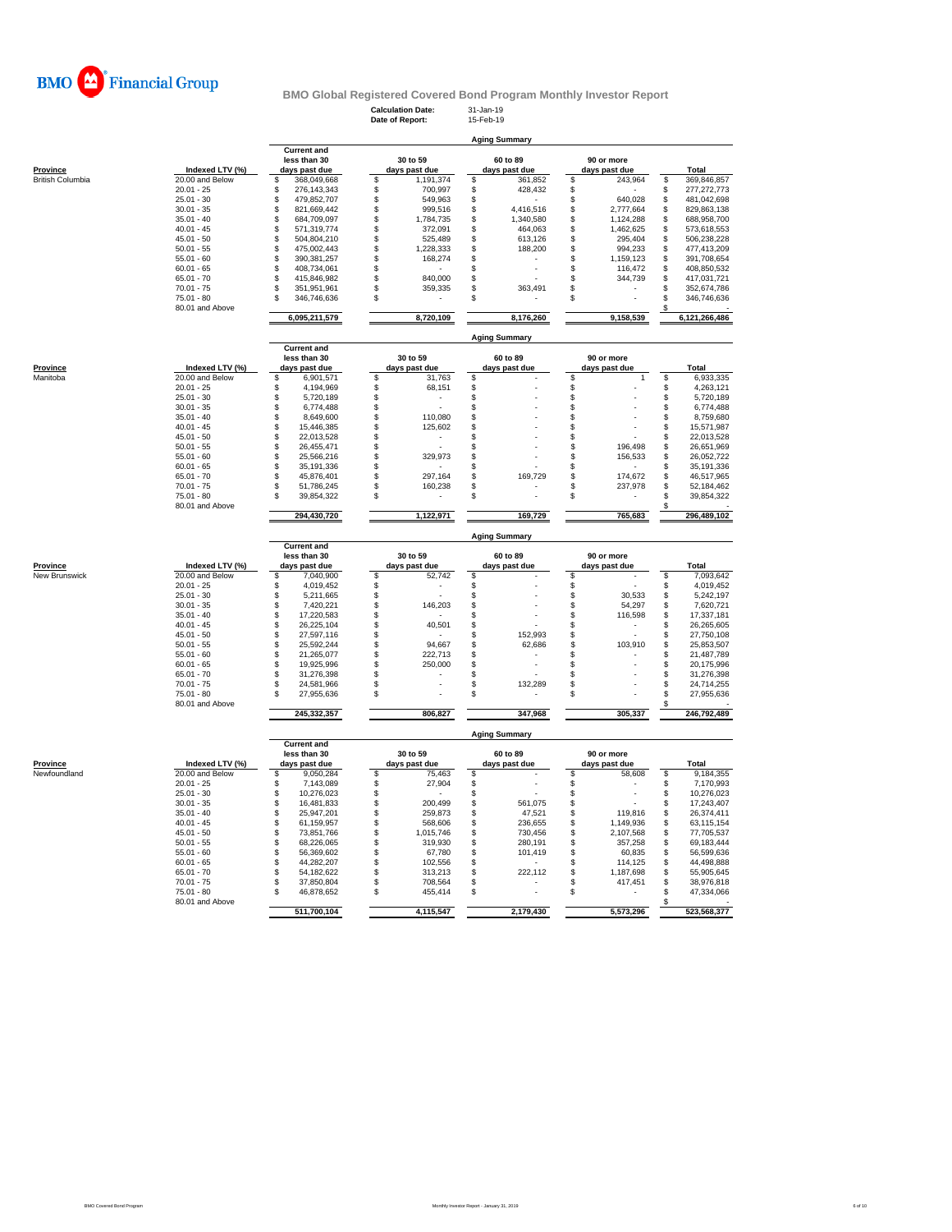

**Calculation Date:** 31-Jan-19 **Date of Report:** 15-Feb-19

**Aging Summary**

|                                 |                                 | less than 30                       | 30 to 59                       | 60 to 89             | 90 or more                     |                        |
|---------------------------------|---------------------------------|------------------------------------|--------------------------------|----------------------|--------------------------------|------------------------|
| <b>Province</b>                 | Indexed LTV (%)                 | days past due                      | days past due                  | days past due        | days past due                  | Total                  |
| <b>British Columbia</b>         | 20.00 and Below                 | \$<br>368,049,668                  | \$<br>1,191,374                | \$<br>361,852        | 243,964<br>\$                  | \$<br>369,846,857      |
|                                 | $20.01 - 25$                    | \$<br>276,143,343                  | \$<br>700,997                  | \$<br>428,432        | \$                             | \$<br>277,272,773      |
|                                 | $25.01 - 30$                    | \$<br>479,852,707                  | \$<br>549,963                  | \$                   | \$<br>640,028                  | \$<br>481,042,698      |
|                                 | $30.01 - 35$                    | \$<br>821,669,442                  | \$<br>999,516                  | \$<br>4,416,516      | \$<br>2,777,664                | \$<br>829,863,138      |
|                                 | $35.01 - 40$                    | \$<br>684,709,097                  | \$<br>1,784,735                | \$<br>1,340,580      | \$<br>1,124,288                | \$<br>688,958,700      |
|                                 | $40.01 - 45$                    | \$<br>571,319,774                  | \$<br>372,091                  | \$<br>464,063        | \$<br>1,462,625                | \$<br>573,618,553      |
|                                 | $45.01 - 50$                    | \$<br>504,804,210                  | \$<br>525,489                  | \$<br>613,126        | \$<br>295,404                  | \$<br>506,238,228      |
|                                 | $50.01 - 55$                    | \$<br>475,002,443                  | \$<br>1,228,333                | \$<br>188,200        | \$<br>994,233                  | \$<br>477,413,209      |
|                                 |                                 |                                    |                                |                      | \$                             |                        |
|                                 | $55.01 - 60$                    | \$<br>390, 381, 257                | \$<br>168,274                  | \$                   | 1,159,123                      | \$<br>391,708,654      |
|                                 | $60.01 - 65$                    | \$<br>408,734,061                  | \$                             | \$                   | \$<br>116,472                  | \$<br>408,850,532      |
|                                 | $65.01 - 70$                    | \$<br>415,846,982                  | \$<br>840,000                  | \$                   | \$<br>344,739                  | \$<br>417,031,721      |
|                                 | $70.01 - 75$                    | 351,951,961<br>\$                  | \$<br>359,335                  | \$<br>363,491        | \$                             | \$<br>352,674,786      |
|                                 | $75.01 - 80$                    | 346,746,636<br>\$.                 | \$                             | \$                   | \$                             | \$<br>346,746,636      |
|                                 | 80.01 and Above                 |                                    |                                |                      |                                |                        |
|                                 |                                 | 6,095,211,579                      | 8,720,109                      | 8,176,260            | 9,158,539                      | 6,121,266,486          |
|                                 |                                 | <b>Current and</b>                 |                                | <b>Aging Summary</b> |                                |                        |
|                                 |                                 | less than 30                       | 30 to 59                       | 60 to 89             | 90 or more                     |                        |
| Province                        | Indexed LTV (%)                 | days past due                      | days past due                  | days past due        | days past due                  | Total                  |
|                                 |                                 |                                    |                                |                      |                                |                        |
| Manitoba                        | 20.00 and Below                 | \$<br>6,901,571                    | \$<br>31,763                   | \$                   | \$<br>1                        | \$<br>6,933,335        |
|                                 | $20.01 - 25$                    | \$<br>4,194,969                    | \$<br>68,151                   | \$                   | \$                             | \$<br>4,263,121        |
|                                 | $25.01 - 30$                    | \$<br>5,720,189                    | \$                             | \$                   | \$                             | \$<br>5,720,189        |
|                                 | $30.01 - 35$                    | \$<br>6,774,488                    | \$<br>$\overline{a}$           | \$                   | \$                             | \$<br>6,774,488        |
|                                 | $35.01 - 40$                    | \$<br>8,649,600                    | \$<br>110,080                  | \$                   | \$                             | \$<br>8,759,680        |
|                                 | $40.01 - 45$                    | \$<br>15,446,385                   | \$<br>125,602                  | \$                   | \$                             | \$<br>15,571,987       |
|                                 | $45.01 - 50$                    | \$<br>22,013,528                   | \$<br>$\overline{\phantom{a}}$ | \$                   | \$                             | \$<br>22,013,528       |
|                                 | $50.01 - 55$                    | \$<br>26,455,471                   | \$                             | \$                   | 196.498<br>\$                  | \$<br>26,651,969       |
|                                 | $55.01 - 60$                    | \$<br>25.566.216                   | \$<br>329,973                  | \$                   | \$<br>156,533                  | 26,052,722             |
|                                 | $60.01 - 65$                    | \$<br>35, 191, 336                 | \$                             | \$                   | \$                             | \$<br>35,191,336       |
|                                 |                                 |                                    |                                |                      |                                | Š.                     |
|                                 | $65.01 - 70$                    | \$<br>45,876,401                   | \$<br>297,164                  | \$<br>169,729        | \$<br>174,672                  | 46,517,965             |
|                                 | $70.01 - 75$                    | \$<br>51,786,245                   | \$<br>160,238                  | \$                   | \$<br>237,978                  | \$<br>52,184,462       |
|                                 | $75.01 - 80$                    | \$<br>39,854,322                   | \$                             | \$                   | \$                             | \$<br>39,854,322       |
|                                 | 80.01 and Above                 |                                    |                                |                      |                                | \$                     |
|                                 |                                 | 294,430,720                        | 1,122,971                      | 169,729              | 765,683                        | 296,489,102            |
|                                 |                                 | <b>Current and</b>                 |                                | <b>Aging Summary</b> |                                |                        |
|                                 |                                 | less than 30                       | 30 to 59                       | 60 to 89             | 90 or more                     |                        |
| Province                        | Indexed LTV (%)                 | days past due                      | days past due                  | days past due        | days past due                  | <b>Total</b>           |
| New Brunswick                   | 20.00 and Below                 | 7,040,900<br>\$                    | \$<br>52,742                   | \$                   | \$                             | 7,093,642<br>\$        |
|                                 | $20.01 - 25$                    | \$<br>4,019,452                    | \$                             | \$                   | \$                             | \$<br>4,019,452        |
|                                 |                                 |                                    |                                |                      |                                |                        |
|                                 | $25.01 - 30$                    | \$<br>5,211,665                    | \$                             | \$                   | \$<br>30,533                   | \$<br>5,242,197        |
|                                 | $30.01 - 35$                    | \$<br>7,420,221                    | \$<br>146,203                  | \$                   | \$<br>54,297                   | \$<br>7,620,721        |
|                                 | $35.01 - 40$                    | \$<br>17,220,583                   | \$                             | \$                   | \$<br>116,598                  | \$<br>17,337,181       |
|                                 | $40.01 - 45$                    | \$<br>26,225,104                   | \$<br>40,501                   | \$                   | \$<br>$\overline{\phantom{m}}$ | 26,265,605             |
|                                 | $45.01 - 50$                    | \$<br>27,597,116                   |                                | \$<br>152,993        | \$                             | \$\$<br>27,750,108     |
|                                 | $50.01 - 55$                    | \$<br>25,592,244                   | \$<br>94,667                   | \$<br>62,686         | ś<br>103,910                   | 25,853,507             |
|                                 | $55.01 - 60$                    | \$<br>21,265,077                   | \$<br>222,713                  | \$                   | \$                             | \$<br>21,487,789       |
|                                 | $60.01 - 65$                    | \$<br>19,925,996                   | \$<br>250,000                  | \$                   | \$                             | \$<br>20,175,996       |
|                                 | $65.01 - 70$                    | \$<br>31,276,398                   | \$                             | \$                   | \$                             | \$<br>31,276,398       |
|                                 |                                 |                                    |                                |                      |                                |                        |
|                                 | $70.01 - 75$                    | \$<br>24,581,966                   | \$                             | \$<br>132,289        | \$                             | \$<br>24,714,255       |
|                                 | $75.01 - 80$<br>80.01 and Above | \$<br>27,955,636                   | \$                             | \$                   | \$.                            | \$<br>27,955,636<br>\$ |
|                                 |                                 |                                    |                                |                      | 305,337                        | 246,792,489            |
|                                 |                                 | 245,332,357                        | 806,827                        | 347,968              |                                |                        |
|                                 |                                 |                                    |                                | <b>Aging Summary</b> |                                |                        |
|                                 |                                 | <b>Current and</b><br>less than 30 | 30 to 59                       | 60 to 89             | 90 or more                     |                        |
|                                 | Indexed LTV (%)                 | days past due                      | days past due                  | days past due        | days past due                  | Total                  |
|                                 | 20.00 and Below                 | 9,050,284<br>\$                    | 75,463<br>\$                   | \$                   | \$<br>58,608                   | \$<br>9,184,355        |
|                                 | $20.01 - 25$                    | \$<br>7,143,089                    | 27,904                         |                      |                                | \$<br>7,170,993        |
|                                 | $25.01 - 30$                    | 10,276,023                         | \$                             | \$                   | \$                             |                        |
|                                 |                                 | \$                                 | \$                             | \$                   | \$                             | \$<br>10,276,023       |
|                                 | $30.01 - 35$                    | \$<br>16,481,833                   | \$<br>200,499                  | \$<br>561,075        | \$                             | \$<br>17,243,407       |
|                                 | $35.01 - 40$                    | \$<br>25,947,201                   | \$<br>259,873                  | \$<br>47,521         | \$<br>119,816                  | \$<br>26,374,411       |
|                                 | $40.01 - 45$                    | \$<br>61,159,957                   | \$<br>568,606                  | \$<br>236,655        | \$<br>1,149,936                | \$<br>63,115,154       |
|                                 | $45.01 - 50$                    | \$<br>73,851,766                   | \$<br>1,015,746                | \$<br>730,456        | \$<br>2,107,568                | \$<br>77,705,537       |
|                                 | $50.01 - 55$                    | \$<br>68,226,065                   | \$<br>319,930                  | \$<br>280,191        | \$<br>357,258                  | \$<br>69,183,444       |
|                                 | $55.01 - 60$                    | \$<br>56,369,602                   | \$<br>67,780                   | S<br>101,419         | \$<br>60,835                   | \$<br>56,599,636       |
|                                 | $60.01 - 65$                    | \$<br>44,282,207                   | \$<br>102,556                  | \$                   | \$<br>114,125                  | \$<br>44,498,888       |
|                                 | $65.01 - 70$                    | \$<br>54, 182, 622                 | \$<br>313,213                  | \$<br>222,112        | \$<br>1,187,698                | \$<br>55,905,645       |
|                                 | $70.01 - 75$                    | \$<br>37,850,804                   | \$<br>708,564                  | \$                   | \$<br>417,451                  | \$<br>38,976,818       |
| <b>Province</b><br>Newfoundland | $75.01 - 80$                    | \$<br>46,878,652                   | Ŝ<br>455,414                   | \$                   | \$                             | Ś.<br>47,334,066       |
|                                 | 80.01 and Above                 | 511,700,104                        | 4,115,547                      | 2,179,430            | 5,573,296                      | \$<br>523,568,377      |

**Current and**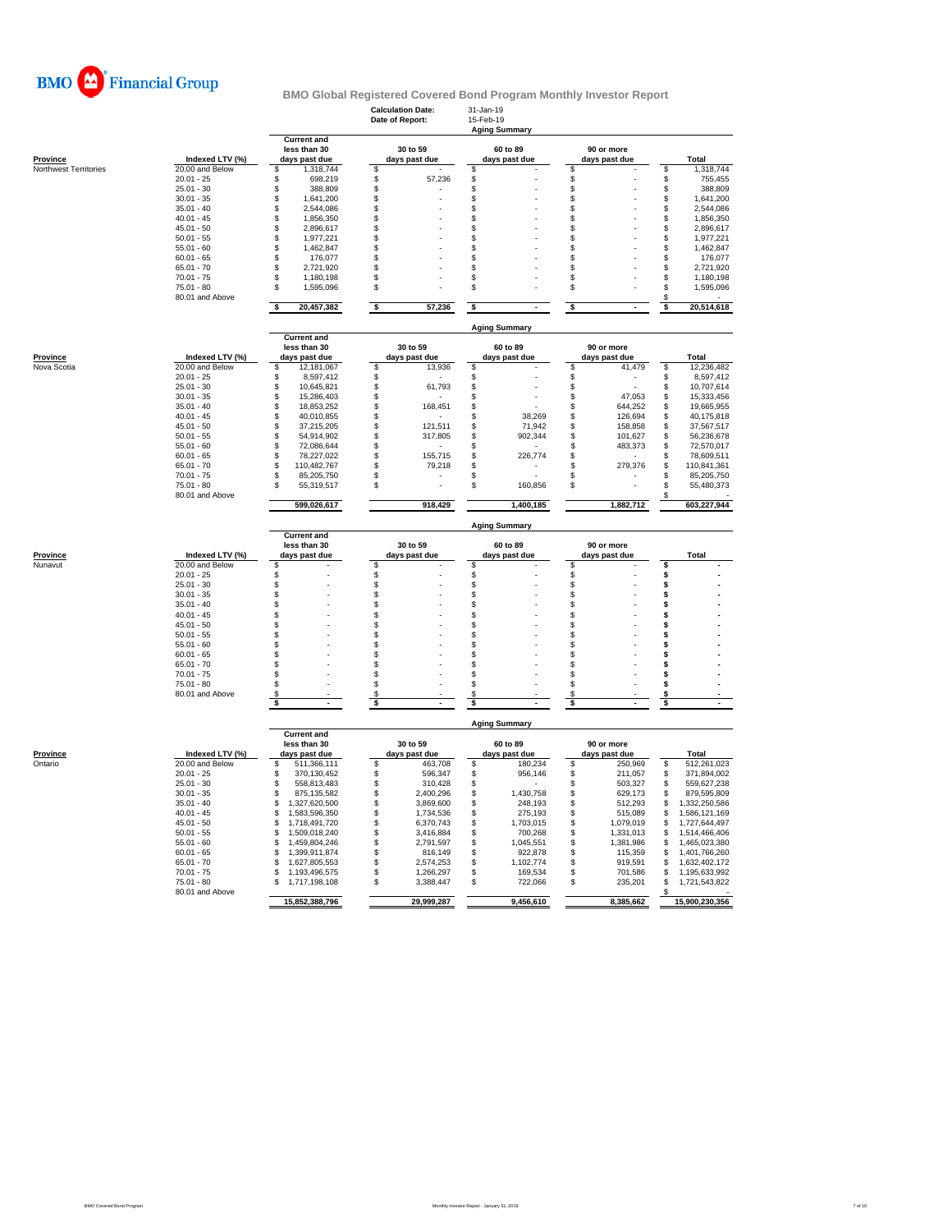

|                                          |                                    |                                        | <b>Calculation Date:</b><br>Date of Report: | 31-Jan-19<br>15-Feb-19<br><b>Aging Summary</b> |                                |                                        |  |  |
|------------------------------------------|------------------------------------|----------------------------------------|---------------------------------------------|------------------------------------------------|--------------------------------|----------------------------------------|--|--|
|                                          |                                    | <b>Current and</b><br>less than 30     | 30 to 59                                    | 60 to 89                                       | 90 or more                     |                                        |  |  |
| <b>Province</b><br>Northwest Territories | Indexed LTV (%)<br>20.00 and Below | days past due<br>\$<br>1,318,744       | days past due<br>\$                         | days past due<br>\$                            | days past due<br>\$            | Total<br>\$<br>1,318,744               |  |  |
|                                          | $20.01 - 25$                       | \$<br>698,219                          | \$<br>57,236                                | \$                                             | \$                             | \$<br>755,455                          |  |  |
|                                          | $25.01 - 30$                       | \$<br>388,809                          | \$                                          | \$                                             | \$                             | \$<br>388,809                          |  |  |
|                                          | $30.01 - 35$                       | \$<br>1,641,200                        | \$                                          | \$                                             | \$                             | \$<br>1,641,200                        |  |  |
|                                          | $35.01 - 40$                       | \$<br>2,544,086                        | \$                                          | \$                                             | \$                             | \$<br>2,544,086                        |  |  |
|                                          | $40.01 - 45$                       | \$<br>1,856,350                        | \$                                          | \$                                             | \$                             | \$<br>1,856,350                        |  |  |
|                                          | $45.01 - 50$                       | \$<br>2,896,617<br>\$                  | \$<br>\$                                    | \$<br>\$                                       | \$<br>\$                       | \$<br>2,896,617                        |  |  |
|                                          | $50.01 - 55$<br>$55.01 - 60$       | 1,977,221<br>\$<br>1,462,847           | \$                                          | \$                                             | \$                             | \$<br>1,977,221<br>\$<br>1,462,847     |  |  |
|                                          | $60.01 - 65$                       | \$<br>176,077                          | \$                                          | \$                                             | \$                             | \$<br>176,077                          |  |  |
|                                          | $65.01 - 70$                       | \$<br>2,721,920                        | \$                                          | \$                                             | \$                             | \$<br>2,721,920                        |  |  |
|                                          | $70.01 - 75$                       | \$<br>1,180,198                        | \$                                          | \$                                             | \$                             | \$<br>1,180,198                        |  |  |
|                                          | $75.01 - 80$                       | \$<br>1,595,096                        | \$                                          | \$                                             | \$                             | \$<br>1,595,096                        |  |  |
|                                          | 80.01 and Above                    | \$<br>20,457,382                       | \$<br>57,236                                | \$                                             | \$                             | \$<br>\$<br>20,514,618                 |  |  |
|                                          |                                    |                                        |                                             | <b>Aging Summary</b>                           |                                |                                        |  |  |
|                                          |                                    | <b>Current and</b><br>less than 30     | 30 to 59                                    | 60 to 89                                       | 90 or more                     |                                        |  |  |
| Province                                 | Indexed LTV (%)                    | days past due                          | days past due                               | days past due                                  | days past due                  | Total                                  |  |  |
| Nova Scotia                              | 20.00 and Below                    | 12,181,067<br>\$                       | \$<br>13,936                                | \$                                             | \$<br>41,479                   | \$<br>12,236,482                       |  |  |
|                                          | $20.01 - 25$                       | \$<br>8,597,412                        | \$                                          | \$                                             | \$                             | \$<br>8,597,412                        |  |  |
|                                          | $25.01 - 30$                       | \$<br>10,645,821                       | \$<br>61,793                                | \$                                             | \$                             | \$<br>10,707,614                       |  |  |
|                                          | $30.01 - 35$                       | \$<br>15,286,403                       | \$                                          | \$                                             | \$<br>47,053                   | \$<br>15,333,456                       |  |  |
|                                          | $35.01 - 40$                       | \$<br>18,853,252                       | \$<br>168,451                               | \$                                             | \$<br>644,252                  | \$<br>19,665,955                       |  |  |
|                                          | $40.01 - 45$<br>$45.01 - 50$       | \$<br>40,010,855<br>\$<br>37,215,205   | \$<br>\$<br>121,511                         | \$<br>38,269<br>\$<br>71,942                   | \$<br>126,694<br>\$<br>158,858 | \$<br>40,175,818<br>\$<br>37,567,517   |  |  |
|                                          | $50.01 - 55$                       | \$<br>54,914,902                       | \$<br>317,805                               | \$<br>902,344                                  | \$<br>101,627                  | \$<br>56,236,678                       |  |  |
|                                          | $55.01 - 60$                       | \$<br>72,086,644                       | \$                                          | \$                                             | \$<br>483,373                  | \$<br>72,570,017                       |  |  |
|                                          | $60.01 - 65$                       | \$<br>78,227,022                       | \$<br>155,715                               | \$<br>226.774                                  | \$                             | \$<br>78,609,511                       |  |  |
|                                          | $65.01 - 70$                       | \$<br>110,482,767                      | \$<br>79,218                                | \$                                             | \$<br>279,376                  | \$<br>110,841,361                      |  |  |
|                                          | $70.01 - 75$                       | \$<br>85,205,750                       | \$                                          | \$                                             | \$                             | \$<br>85,205,750                       |  |  |
|                                          | $75.01 - 80$<br>80.01 and Above    | \$<br>55,319,517                       | \$                                          | \$<br>160,856                                  | \$                             | \$<br>55,480,373<br>\$                 |  |  |
|                                          |                                    | 599,026,617                            | 918,429                                     | 1,400,185                                      | 1.882.712                      | 603,227,944                            |  |  |
|                                          |                                    |                                        |                                             |                                                |                                |                                        |  |  |
|                                          |                                    |                                        |                                             | <b>Aging Summary</b>                           |                                |                                        |  |  |
|                                          |                                    | <b>Current and</b>                     |                                             | 60 to 89                                       |                                |                                        |  |  |
| Province                                 | Indexed LTV (%)                    | less than 30<br>days past due          | 30 to 59<br>days past due                   | days past due                                  | 90 or more<br>days past due    | Total                                  |  |  |
| Nunavut                                  | 20.00 and Below                    | \$                                     | \$                                          | \$                                             | \$                             | \$                                     |  |  |
|                                          | $20.01 - 25$                       | \$                                     | \$                                          | \$                                             | \$                             | \$                                     |  |  |
|                                          | $25.01 - 30$                       | \$                                     | \$                                          | \$                                             | \$                             | \$                                     |  |  |
|                                          | $30.01 - 35$                       | \$                                     | \$                                          | \$                                             | \$                             | \$                                     |  |  |
|                                          | $35.01 - 40$                       | \$                                     | \$                                          | \$<br>\$                                       | \$<br>\$                       | \$<br>\$                               |  |  |
|                                          | $40.01 - 45$<br>$45.01 - 50$       | \$<br>\$                               | \$<br>\$                                    | \$                                             | \$                             | \$                                     |  |  |
|                                          | $50.01 - 55$                       | \$                                     | \$                                          | \$                                             | \$                             | \$                                     |  |  |
|                                          | $55.01 - 60$                       | \$                                     | \$                                          | \$                                             | \$                             | \$                                     |  |  |
|                                          | $60.01 - 65$                       | \$                                     | \$                                          | \$                                             | \$                             | \$                                     |  |  |
|                                          | $65.01 - 70$                       | \$                                     | \$                                          | \$                                             | \$                             | \$                                     |  |  |
|                                          | $70.01 - 75$                       | \$                                     | \$                                          | \$                                             | \$                             | \$                                     |  |  |
|                                          | 75.01 - 80<br>80.01 and Above      | \$<br>\$                               | \$<br>\$                                    | \$<br>\$                                       | \$<br>\$                       | \$<br>\$                               |  |  |
|                                          |                                    | \$                                     | \$                                          | \$                                             | \$                             | \$                                     |  |  |
|                                          |                                    |                                        |                                             | <b>Aging Summary</b>                           |                                |                                        |  |  |
|                                          |                                    | <b>Current and</b><br>less than 30     | 30 to 59                                    | 60 to 89                                       | 90 or more                     |                                        |  |  |
| Province                                 | Indexed LTV (%)                    | days past due                          | days past due                               | days past due                                  | days past due                  | Total                                  |  |  |
| Ontario                                  | 20.00 and Below<br>$20.01 - 25$    | \$<br>511,366,111                      | \$<br>463,708                               | \$<br>180,234<br>956.146                       | \$<br>250,969                  | \$<br>512,261,023                      |  |  |
|                                          | $25.01 - 30$                       | \$<br>370,130,452<br>\$<br>558,813,483 | \$<br>596,347<br>\$<br>310,428              | \$<br>\$                                       | \$<br>211,057<br>\$<br>503,327 | \$<br>371,894,002<br>\$<br>559,627,238 |  |  |
|                                          | $30.01 - 35$                       | \$<br>875,135,582                      | \$<br>2,400,296                             | \$<br>1,430,758                                | \$<br>629,173                  | \$<br>879,595,809                      |  |  |
|                                          | $35.01 - 40$                       | S<br>1,327,620,500                     | \$<br>3,869,600                             | \$<br>248,193                                  | \$<br>512,293                  | \$<br>1,332,250,586                    |  |  |
|                                          | $40.01 - 45$                       | \$<br>1,583,596,350                    | \$<br>1,734,536                             | \$<br>275,193                                  | \$<br>515,089                  | \$<br>1,586,121,169                    |  |  |
|                                          | $45.01 - 50$                       | 1,718,491,720<br>\$                    | \$<br>6,370,743                             | \$<br>1,703,015                                | \$<br>1,079,019                | \$<br>1,727,644,497                    |  |  |
|                                          | $50.01 - 55$                       | 1,509,018,240<br>\$                    | \$<br>3,416,884                             | 700,268<br>\$                                  | \$<br>1,331,013                | \$<br>1,514,466,406                    |  |  |
|                                          | $55.01 - 60$                       | 1,459,804,246<br>\$                    | \$<br>2,791,597                             | 1,045,551<br>\$                                | 1,381,986<br>\$                | 1,465,023,380<br>\$                    |  |  |
|                                          | $60.01 - 65$                       | \$<br>1,399,911,874<br>\$              | \$<br>816,149<br>\$                         | \$<br>922,878<br>\$                            | \$<br>115,359                  | \$<br>1,401,766,260<br>\$              |  |  |
|                                          | $65.01 - 70$<br>$70.01 - 75$       | 1,627,805,553<br>S.<br>1,193,496,575   | 2,574,253<br>\$<br>1,266,297                | 1,102,774<br>\$<br>169,534                     | \$<br>919,591<br>\$<br>701,586 | 1,632,402,172<br>\$<br>1,195,633,992   |  |  |
|                                          | $75.01 - 80$                       | 1,717,198,108<br>\$                    | \$<br>3,388,447                             | \$<br>722,066                                  | \$<br>235,201                  | \$<br>1,721,543,822                    |  |  |
|                                          | 80.01 and Above                    | 15,852,388,796                         | 29,999,287                                  | 9,456,610                                      | 8,385,662                      | \$<br>15,900,230,356                   |  |  |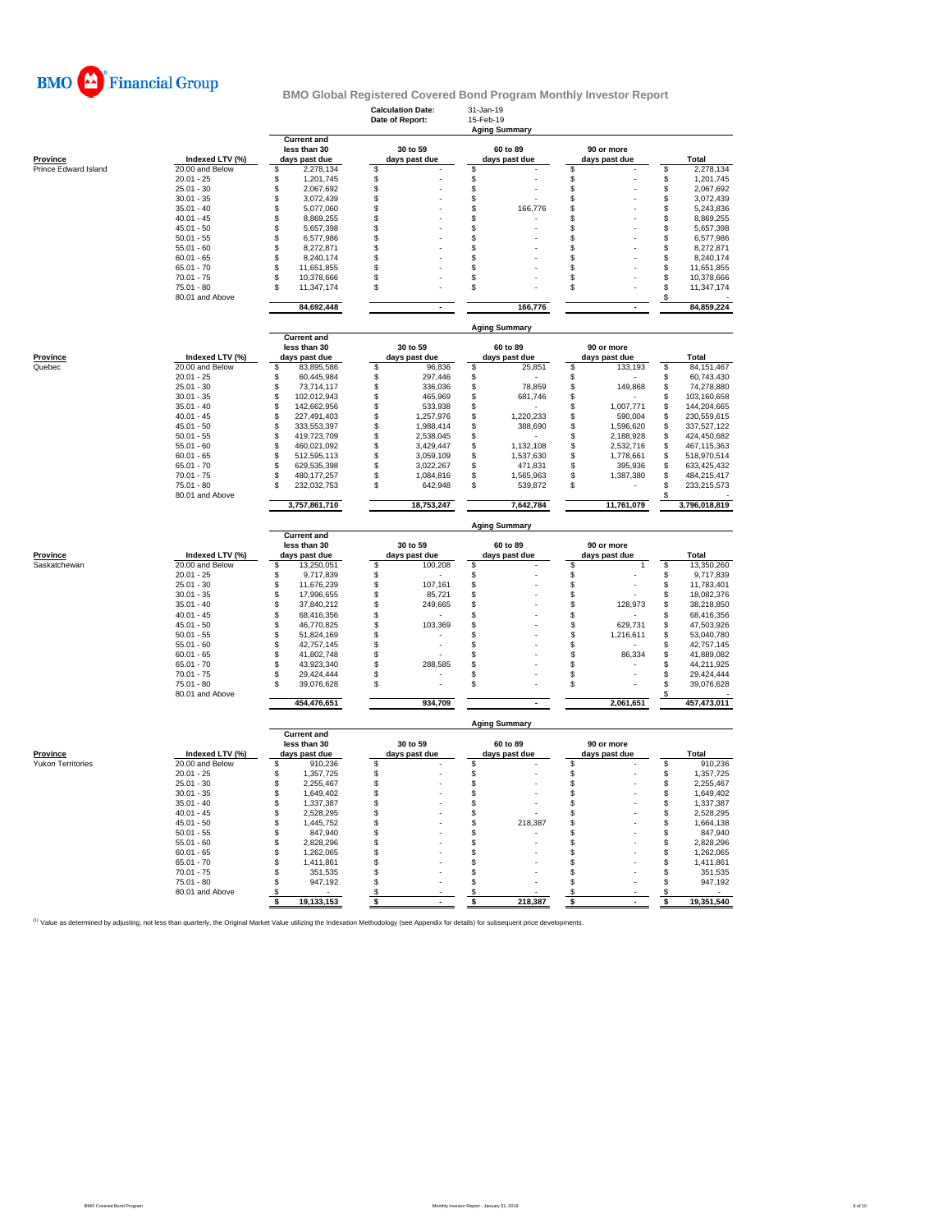

**Calculation Date:** 31-Jan-19

|                          |                                    |                                         | Date of Report:                            |                      |                                 |                                       |
|--------------------------|------------------------------------|-----------------------------------------|--------------------------------------------|----------------------|---------------------------------|---------------------------------------|
|                          |                                    | <b>Current and</b>                      |                                            | <b>Aging Summary</b> |                                 |                                       |
|                          |                                    | less than 30                            | 30 to 59                                   | 60 to 89             | 90 or more                      |                                       |
| Province                 | Indexed LTV (%)                    | days past due                           | days past due                              | days past due        | days past due                   | Total                                 |
| Prince Edward Island     | 20.00 and Below                    | 2,278,134<br>\$                         | \$                                         | S                    | \$                              | \$<br>2,278,134                       |
|                          | $20.01 - 25$                       | \$<br>1,201,745                         | \$                                         | \$                   | \$                              | \$<br>1,201,745                       |
|                          | $25.01 - 30$                       | \$<br>2,067,692                         | \$                                         | \$                   | \$                              | \$<br>2,067,692                       |
|                          | $30.01 - 35$                       | \$<br>3,072,439                         | \$                                         | \$                   | \$                              | \$<br>3,072,439                       |
|                          | $35.01 - 40$                       | \$<br>5,077,060                         | \$                                         | \$<br>166,776        | \$                              | \$<br>5,243,836                       |
|                          | $40.01 - 45$                       | \$<br>8,869,255                         | \$                                         | \$                   | $\mathfrak{L}$                  | \$<br>8,869,255                       |
|                          | $45.01 - 50$                       | \$<br>5,657,398                         | \$                                         | \$                   | \$                              | \$<br>5,657,398                       |
|                          | $50.01 - 55$<br>$55.01 - 60$       | \$<br>6,577,986<br>\$<br>8,272,871      | \$<br>\$                                   | \$<br>\$             | \$<br>$\mathfrak{S}$            | \$<br>6,577,986<br>\$<br>8,272,871    |
|                          | $60.01 - 65$                       | \$<br>8,240,174                         | \$                                         | \$                   | \$                              | \$<br>8,240,174                       |
|                          | $65.01 - 70$                       | \$<br>11,651,855                        | \$                                         | \$                   | \$                              | \$<br>11,651,855                      |
|                          | $70.01 - 75$                       | 10,378,666<br>\$                        | \$                                         | \$                   | \$                              | \$<br>10,378,666                      |
|                          | $75.01 - 80$                       | \$<br>11,347,174                        | \$                                         | \$                   | \$                              | \$<br>11,347,174                      |
|                          | 80.01 and Above                    |                                         |                                            |                      |                                 | \$                                    |
|                          |                                    | 84,692,448                              |                                            | 166,776              |                                 | 84,859,224                            |
|                          |                                    |                                         |                                            | <b>Aging Summary</b> |                                 |                                       |
|                          |                                    | <b>Current and</b>                      |                                            |                      |                                 |                                       |
|                          |                                    | less than 30                            | 30 to 59                                   | 60 to 89             | 90 or more                      |                                       |
| Province                 | Indexed LTV (%)                    | days past due                           | days past due                              | days past due        | days past due                   | <b>Total</b>                          |
| Quebec                   | 20.00 and Below                    | \$.<br>83,895,586                       | \$<br>96,836                               | \$<br>25,851         | \$<br>133,193                   | 84, 151, 467<br>\$                    |
|                          | $20.01 - 25$<br>$25.01 - 30$       | \$<br>60,445,984                        | \$<br>297,446                              | \$                   | \$                              | \$<br>60,743,430                      |
|                          | $30.01 - 35$                       | \$<br>73,714,117<br>102,012,943<br>\$   | \$<br>336,036<br>\$<br>465,969             | \$<br>78,859<br>\$   | 149,868<br>\$<br>$\mathfrak{L}$ | \$<br>74,278,880<br>\$<br>103,160,658 |
|                          | $35.01 - 40$                       | \$<br>142,662,956                       | \$<br>533,938                              | 681,746<br>\$        | 1,007,771<br>\$                 | 144,204,665<br>\$                     |
|                          | $40.01 - 45$                       | \$<br>227,491,403                       | \$<br>1,257,976                            | \$<br>1,220,233      | \$<br>590,004                   | \$<br>230,559,615                     |
|                          | $45.01 - 50$                       | \$<br>333,553,397                       | \$<br>1,988,414                            | \$<br>388,690        | \$<br>1,596,620                 | 337,527,122<br>\$                     |
|                          | $50.01 - 55$                       | \$<br>419,723,709                       | \$<br>2,538,045                            | \$                   | \$<br>2,188,928                 | \$<br>424,450,682                     |
|                          | $55.01 - 60$                       | 460,021,092<br>\$                       | $$\mathbb{S}$$<br>3,429,447                | \$<br>1,132,108      | \$<br>2,532,716                 | \$<br>467,115,363                     |
|                          | $60.01 - 65$                       | \$<br>512,595,113                       | \$<br>3,059,109                            | \$<br>1,537,630      | \$<br>1,778,661                 | \$<br>518,970,514                     |
|                          | $65.01 - 70$                       | 629,535,398<br>\$                       | \$<br>3,022,267                            | \$<br>471,831        | \$<br>395,936                   | \$<br>633,425,432                     |
|                          | $70.01 - 75$                       | \$<br>480, 177, 257                     | \$<br>1,084,816                            | 1,565,963<br>S       | \$<br>1,387,380                 | 484,215,417<br>\$                     |
|                          | $75.01 - 80$                       | 232,032,753<br>\$                       | \$<br>642,948                              | \$<br>539,872        | \$                              | \$<br>233,215,573                     |
|                          | 80.01 and Above                    |                                         |                                            |                      |                                 | S<br>3,796,018,819                    |
|                          |                                    | 3,757,861,710                           | 18,753,247                                 |                      |                                 |                                       |
|                          |                                    |                                         |                                            | 7,642,784            | 11,761,079                      |                                       |
|                          |                                    |                                         |                                            | <b>Aging Summary</b> |                                 |                                       |
|                          |                                    | <b>Current and</b><br>less than 30      |                                            |                      |                                 |                                       |
|                          |                                    |                                         | 30 to 59                                   | 60 to 89             | 90 or more                      | Total                                 |
| Province<br>Saskatchewan | Indexed LTV (%)<br>20.00 and Below | days past due<br>\$<br>13,250,051       | days past due<br>\$<br>100,208             | days past due<br>\$  | days past due<br>\$<br>1        | \$<br>13,350,260                      |
|                          | $20.01 - 25$                       | 9,717,839<br>\$                         | \$                                         | \$                   | \$                              | 9,717,839<br>\$                       |
|                          | $25.01 - 30$                       | \$<br>11,676,239                        | \$<br>107,161                              | $\mathsf{\$}$        | $\mathbf{s}$                    | \$<br>11,783,401                      |
|                          | $30.01 - 35$                       | 17,996,655<br>\$                        | \$<br>85,721                               | \$                   | \$                              | \$<br>18,082,376                      |
|                          | $35.01 - 40$                       | \$<br>37,840,212                        | \$<br>249,665                              | \$                   | \$<br>128,973                   | \$<br>38,218,850                      |
|                          | $40.01 - 45$                       | \$<br>68,416,356                        | \$                                         | \$                   | \$                              | \$<br>68,416,356                      |
|                          | $45.01 - 50$                       | \$<br>46,770,825                        | \$<br>103,369                              | \$                   | 629,731<br>\$                   | \$<br>47,503,926                      |
|                          | $50.01 - 55$                       | \$<br>51,824,169                        | \$                                         | S                    | \$<br>1,216,611                 | \$<br>53,040,780                      |
|                          | $55.01 - 60$                       | \$<br>42,757,145                        | \$                                         | \$                   | \$                              | \$<br>42,757,145                      |
|                          | $60.01 - 65$                       | \$<br>41,802,748                        | \$                                         | \$                   | 86,334<br>\$                    | Ś.<br>41,889,082                      |
|                          | $65.01 - 70$                       | \$<br>43,923,340                        | \$<br>288,585                              | S                    | \$                              | \$<br>44,211,925                      |
|                          | $70.01 - 75$                       | \$<br>29,424,444                        | \$                                         | S                    | \$                              | \$<br>29,424,444                      |
|                          | $75.01 - 80$                       | \$<br>39,076,628                        | \$                                         | S                    | \$                              | \$<br>39,076,628                      |
|                          | 80.01 and Above                    | 454,476,651                             | 934,709                                    |                      | 2,061,651                       | 457,473,011                           |
|                          |                                    |                                         |                                            | <b>Aging Summary</b> |                                 |                                       |
|                          |                                    | <b>Current and</b>                      |                                            |                      |                                 |                                       |
|                          |                                    | less than 30                            | 30 to 59                                   | 60 to 89             | 90 or more                      |                                       |
| <b>Province</b>          | Indexed LTV (%)                    | days past due                           | days past due                              | days past due        | days past due                   | Total                                 |
| <b>Yukon Territories</b> | 20.00 and Below<br>$20.01 - 25$    | \$<br>910,236<br>\$                     | \$                                         | S                    | \$                              | 910,236<br>\$                         |
|                          | $25.01 - 30$                       | 1,357,725<br>\$<br>2,255,467            | \$<br>\$                                   | \$                   | \$<br>\$                        | \$<br>1,357,725<br>2,255,467          |
|                          | $30.01 - 35$                       | \$<br>1,649,402                         | \$                                         | \$<br>\$             | \$                              | \$<br>\$<br>1,649,402                 |
|                          | $35.01 - 40$                       | \$<br>1,337,387                         | \$                                         | \$                   | $\mathfrak{L}$                  | \$<br>1,337,387                       |
|                          | $40.01 - 45$                       | \$<br>2,528,295                         | \$                                         | \$                   | \$                              | \$<br>2,528,295                       |
|                          | $45.01 - 50$                       | \$<br>1,445,752                         | \$                                         | \$<br>218,387        | \$                              | \$<br>1,664,138                       |
|                          | $50.01 - 55$                       | \$<br>847,940                           | \$                                         | \$                   | £.                              | \$<br>847,940                         |
|                          | $55.01 - 60$                       | \$<br>2,828,296                         | \$                                         | \$                   | \$                              | \$<br>2,828,296                       |
|                          | $60.01 - 65$                       | \$<br>1,262,065                         | \$                                         | \$                   | \$.                             | \$<br>1,262,065                       |
|                          | $65.01 - 70$                       | \$<br>1,411,861                         | \$                                         | \$                   | \$                              | \$<br>1,411,861                       |
|                          | $70.01 - 75$                       | \$<br>351,535                           | \$                                         | $\mathfrak{s}$       | £.                              | \$<br>351,535                         |
|                          | $75.01 - 80$                       | \$<br>947,192                           | \$                                         | \$                   | \$                              | \$<br>947,192                         |
|                          | 80.01 and Above                    | S<br>19,133,153<br>$\overline{\bullet}$ | \$<br>$\overline{\boldsymbol{\mathsf{s}}}$ | S<br>218,387<br>s    | S<br>\$                         | \$<br>19,351,540<br>\$                |

<sup>(1)</sup> Value as determined by adjusting, not less than quarterly, the Original Market Value utilizing the Indexation Methodology (see Appendix for details) for subsequent price developments.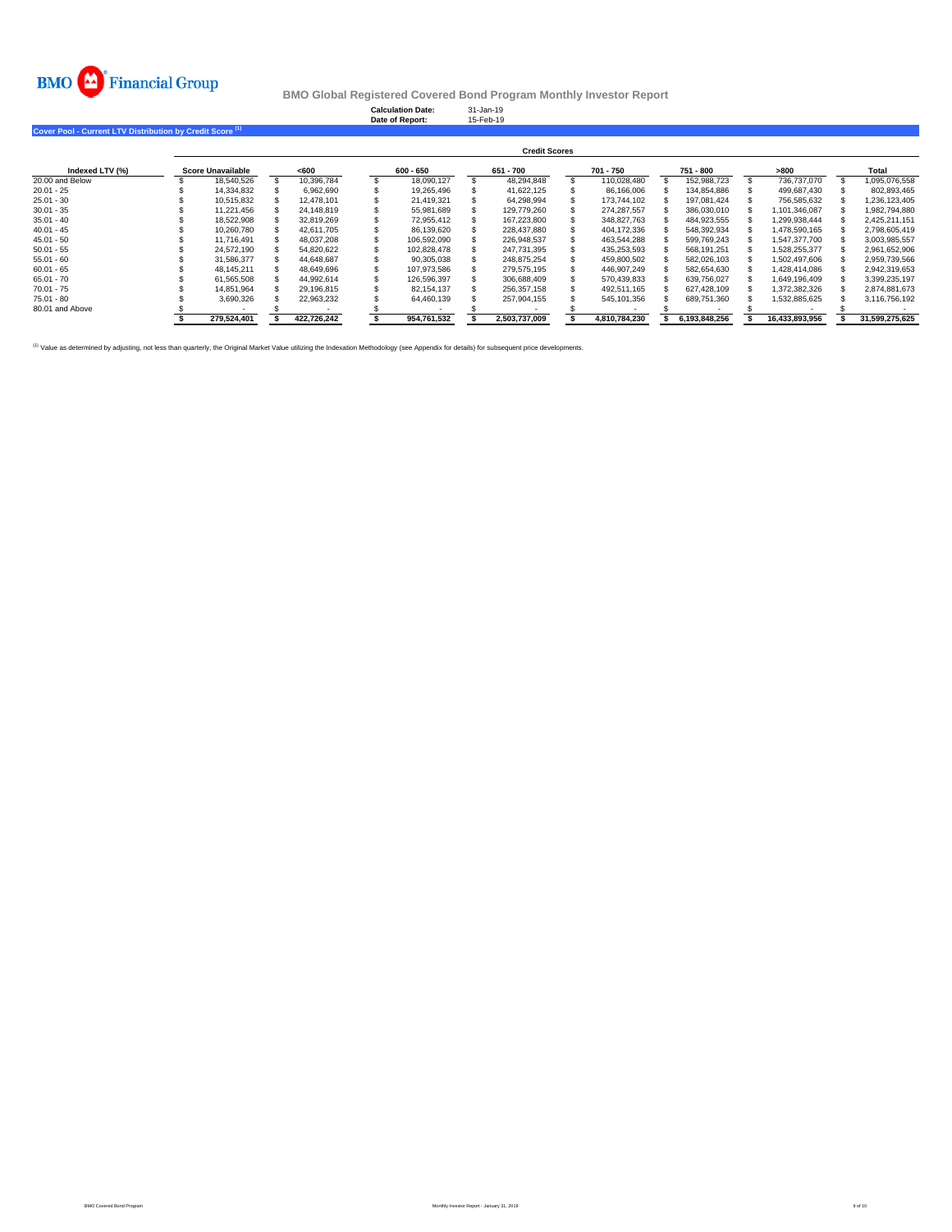

**Calculation Date:** 31-Jan-19 **Date of Report:** 15-Feb-19

**Cover Pool - Current LTV Distribution by Credit Score (1)** 

|                 | <b>Credit Scores</b> |                   |  |             |  |             |  |               |  |               |  |               |  |                |  |                |
|-----------------|----------------------|-------------------|--|-------------|--|-------------|--|---------------|--|---------------|--|---------------|--|----------------|--|----------------|
| Indexed LTV (%) |                      | Score Unavailable |  | <600        |  | 600 - 650   |  | 651 - 700     |  | 701 - 750     |  | 751 - 800     |  | >800           |  | Total          |
| 20,00 and Below |                      | 18.540.526        |  | 10.396.784  |  | 18.090.127  |  | 48.294.848    |  | 110.028.480   |  | 152.988.723   |  | 736.737.070    |  | 1.095.076.558  |
| $20.01 - 25$    |                      | 14.334.832        |  | 6.962.690   |  | 19.265.496  |  | 41.622.125    |  | 86.166.006    |  | 134.854.886   |  | 499.687.430    |  | 802.893.465    |
| $25.01 - 30$    |                      | 10.515.832        |  | 12.478.101  |  | 21.419.321  |  | 64.298.994    |  | 173.744.102   |  | 197.081.424   |  | 756.585.632    |  | 1.236.123.405  |
| $30.01 - 35$    |                      | 11.221.456        |  | 24.148.819  |  | 55.981.689  |  | 129.779.260   |  | 274.287.557   |  | 386.030.010   |  | 1.101.346.087  |  | 1.982.794.880  |
| $35.01 - 40$    |                      | 18,522,908        |  | 32.819.269  |  | 72.955.412  |  | 167.223.800   |  | 348.827.763   |  | 484,923,555   |  | 1.299.938.444  |  | 2.425.211.151  |
| $40.01 - 45$    |                      | 10.260.780        |  | 42.611.705  |  | 86.139.620  |  | 228.437.880   |  | 404.172.336   |  | 548.392.934   |  | 1.478.590.165  |  | 2.798.605.419  |
| $45.01 - 50$    |                      | 11.716.491        |  | 48.037.208  |  | 106.592.090 |  | 226.948.537   |  | 463.544.288   |  | 599.769.243   |  | 1.547.377.700  |  | 3.003.985.557  |
| $50.01 - 55$    |                      | 24.572.190        |  | 54,820,622  |  | 102.828.478 |  | 247.731.395   |  | 435,253,593   |  | 568.191.251   |  | 1,528,255,377  |  | 2,961,652,906  |
| $55.01 - 60$    |                      | 31.586.377        |  | 44.648.687  |  | 90.305.038  |  | 248.875.254   |  | 459.800.502   |  | 582.026.103   |  | 1.502.497.606  |  | 2.959.739.566  |
| $60.01 - 65$    |                      | 48.145.211        |  | 48.649.696  |  | 107.973.586 |  | 279.575.195   |  | 446.907.249   |  | 582.654.630   |  | 1.428.414.086  |  | 2.942.319.653  |
| $65.01 - 70$    |                      | 61,565,508        |  | 44.992.614  |  | 126.596.397 |  | 306.688.409   |  | 570.439.833   |  | 639.756.027   |  | 1.649.196.409  |  | 3,399,235,197  |
| $70.01 - 75$    |                      | 14,851,964        |  | 29.196.815  |  | 82.154.137  |  | 256.357.158   |  | 492.511.165   |  | 627.428.109   |  | 1,372,382,326  |  | 2.874.881.673  |
| $75.01 - 80$    |                      | 3.690.326         |  | 22.963.232  |  | 64.460.139  |  | 257.904.155   |  | 545.101.356   |  | 689.751.360   |  | 1.532.885.625  |  | 3.116.756.192  |
| 80.01 and Above |                      |                   |  |             |  |             |  |               |  |               |  |               |  |                |  |                |
|                 |                      | 279.524.401       |  | 422,726,242 |  | 954.761.532 |  | 2.503.737.009 |  | 4.810.784.230 |  | 6.193.848.256 |  | 16.433.893.956 |  | 31.599.275.625 |

<sup>(1)</sup> Value as determined by adjusting, not less than quarterly, the Original Market Value utilizing the Indexation Methodology (see Appendix for details) for subsequent price developments.